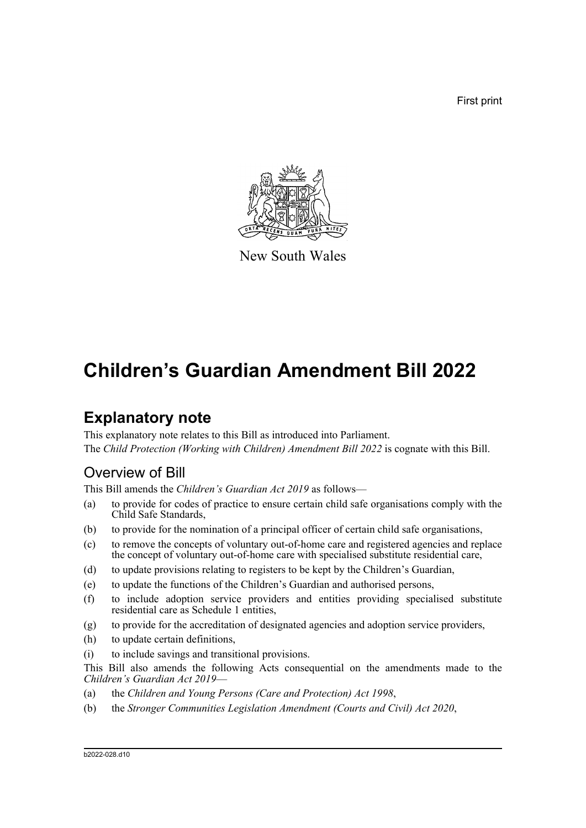First print



New South Wales

# **Children's Guardian Amendment Bill 2022**

# **Explanatory note**

This explanatory note relates to this Bill as introduced into Parliament. The *Child Protection (Working with Children) Amendment Bill 2022* is cognate with this Bill.

## Overview of Bill

This Bill amends the *Children's Guardian Act 2019* as follows—

- (a) to provide for codes of practice to ensure certain child safe organisations comply with the Child Safe Standards,
- (b) to provide for the nomination of a principal officer of certain child safe organisations,
- (c) to remove the concepts of voluntary out-of-home care and registered agencies and replace the concept of voluntary out-of-home care with specialised substitute residential care,
- (d) to update provisions relating to registers to be kept by the Children's Guardian,
- (e) to update the functions of the Children's Guardian and authorised persons,
- (f) to include adoption service providers and entities providing specialised substitute residential care as Schedule 1 entities,
- (g) to provide for the accreditation of designated agencies and adoption service providers,
- (h) to update certain definitions,
- (i) to include savings and transitional provisions.

This Bill also amends the following Acts consequential on the amendments made to the *Children's Guardian Act 2019*—

- (a) the *Children and Young Persons (Care and Protection) Act 1998*,
- (b) the *Stronger Communities Legislation Amendment (Courts and Civil) Act 2020*,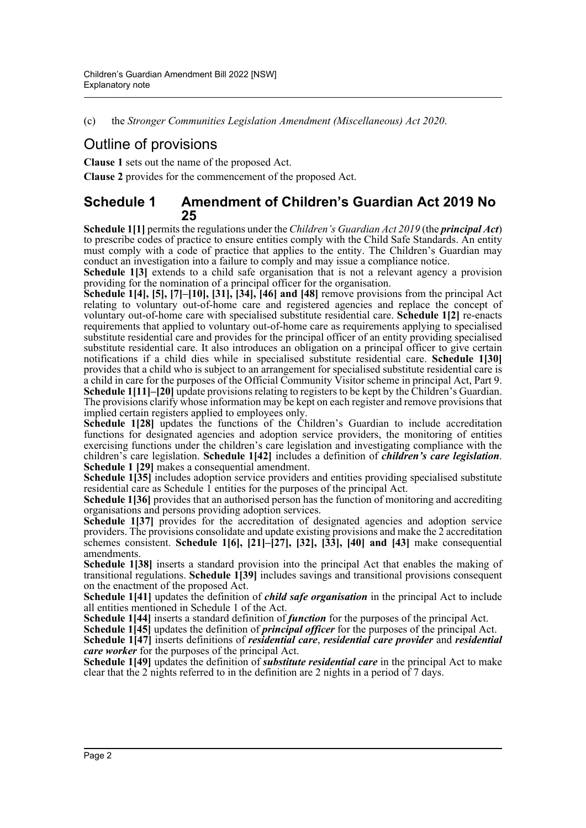(c) the *Stronger Communities Legislation Amendment (Miscellaneous) Act 2020*.

## Outline of provisions

**Clause 1** sets out the name of the proposed Act.

**Clause 2** provides for the commencement of the proposed Act.

## **Schedule 1 Amendment of Children's Guardian Act 2019 No 25**

**Schedule 1[1]** permits the regulations under the *Children's Guardian Act 2019* (the *principal Act*) to prescribe codes of practice to ensure entities comply with the Child Safe Standards. An entity must comply with a code of practice that applies to the entity. The Children's Guardian may conduct an investigation into a failure to comply and may issue a compliance notice.

**Schedule 1[3]** extends to a child safe organisation that is not a relevant agency a provision providing for the nomination of a principal officer for the organisation.

**Schedule 1[4], [5], [7]–[10], [31], [34], [46] and [48]** remove provisions from the principal Act relating to voluntary out-of-home care and registered agencies and replace the concept of voluntary out-of-home care with specialised substitute residential care. **Schedule 1[2]** re-enacts requirements that applied to voluntary out-of-home care as requirements applying to specialised substitute residential care and provides for the principal officer of an entity providing specialised substitute residential care. It also introduces an obligation on a principal officer to give certain notifications if a child dies while in specialised substitute residential care. **Schedule 1[30]** provides that a child who is subject to an arrangement for specialised substitute residential care is a child in care for the purposes of the Official Community Visitor scheme in principal Act, Part 9. **Schedule 1[11]–[20]** update provisions relating to registers to be kept by the Children's Guardian. The provisions clarify whose information may be kept on each register and remove provisions that implied certain registers applied to employees only.

Schedule 1<sup>[28]</sup> updates the functions of the Children's Guardian to include accreditation functions for designated agencies and adoption service providers, the monitoring of entities exercising functions under the children's care legislation and investigating compliance with the children's care legislation. **Schedule 1[42]** includes a definition of *children's care legislation*. **Schedule 1 [29]** makes a consequential amendment.

**Schedule 1<sup>[35]</sup>** includes adoption service providers and entities providing specialised substitute residential care as Schedule 1 entities for the purposes of the principal Act.

**Schedule 1[36]** provides that an authorised person has the function of monitoring and accrediting organisations and persons providing adoption services.

**Schedule 1[37]** provides for the accreditation of designated agencies and adoption service providers. The provisions consolidate and update existing provisions and make the 2 accreditation schemes consistent. **Schedule 1[6], [21]–[27], [32], [33], [40] and [43]** make consequential amendments.

**Schedule 1[38]** inserts a standard provision into the principal Act that enables the making of transitional regulations. **Schedule 1[39]** includes savings and transitional provisions consequent on the enactment of the proposed Act.

Schedule 1<sup>[41]</sup> updates the definition of *child safe organisation* in the principal Act to include all entities mentioned in Schedule 1 of the Act.

**Schedule 1[44]** inserts a standard definition of *function* for the purposes of the principal Act.

**Schedule 1[45]** updates the definition of *principal officer* for the purposes of the principal Act.

**Schedule 1[47]** inserts definitions of *residential care*, *residential care provider* and *residential care worker* for the purposes of the principal Act.

**Schedule 1[49]** updates the definition of *substitute residential care* in the principal Act to make clear that the 2 nights referred to in the definition are 2 nights in a period of 7 days.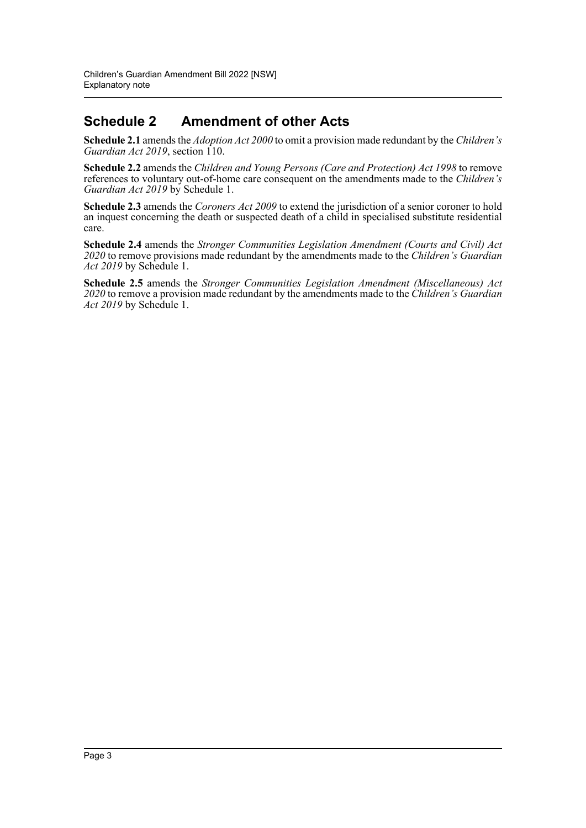## **Schedule 2 Amendment of other Acts**

**Schedule 2.1** amends the *Adoption Act 2000* to omit a provision made redundant by the *Children's Guardian Act 2019*, section 110.

**Schedule 2.2** amends the *Children and Young Persons (Care and Protection) Act 1998* to remove references to voluntary out-of-home care consequent on the amendments made to the *Children's Guardian Act 2019* by Schedule 1.

**Schedule 2.3** amends the *Coroners Act 2009* to extend the jurisdiction of a senior coroner to hold an inquest concerning the death or suspected death of a child in specialised substitute residential care.

**Schedule 2.4** amends the *Stronger Communities Legislation Amendment (Courts and Civil) Act 2020* to remove provisions made redundant by the amendments made to the *Children's Guardian Act 2019* by Schedule 1.

**Schedule 2.5** amends the *Stronger Communities Legislation Amendment (Miscellaneous) Act 2020* to remove a provision made redundant by the amendments made to the *Children's Guardian Act 2019* by Schedule 1.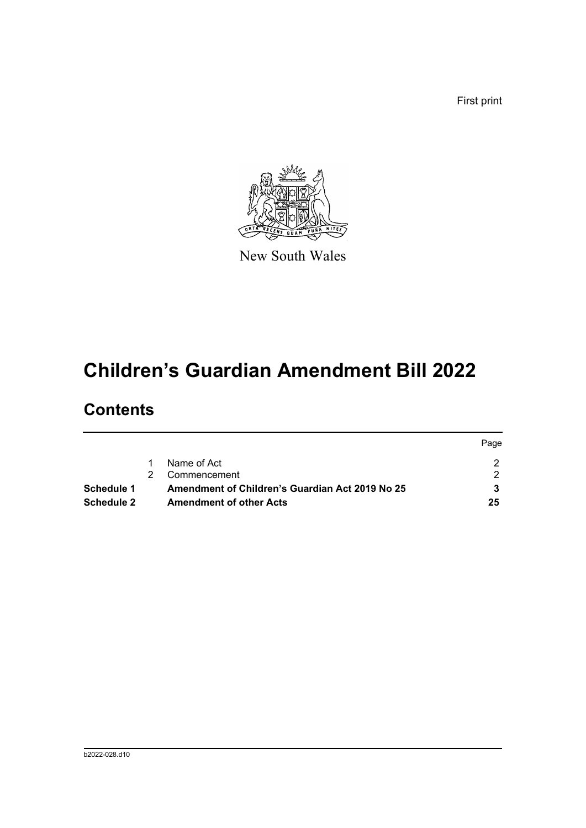First print



New South Wales

# **Children's Guardian Amendment Bill 2022**

# **Contents**

|                   |                                                 | Page |
|-------------------|-------------------------------------------------|------|
|                   | Name of Act                                     |      |
|                   | Commencement                                    |      |
| Schedule 1        | Amendment of Children's Guardian Act 2019 No 25 |      |
| <b>Schedule 2</b> | <b>Amendment of other Acts</b>                  | 25   |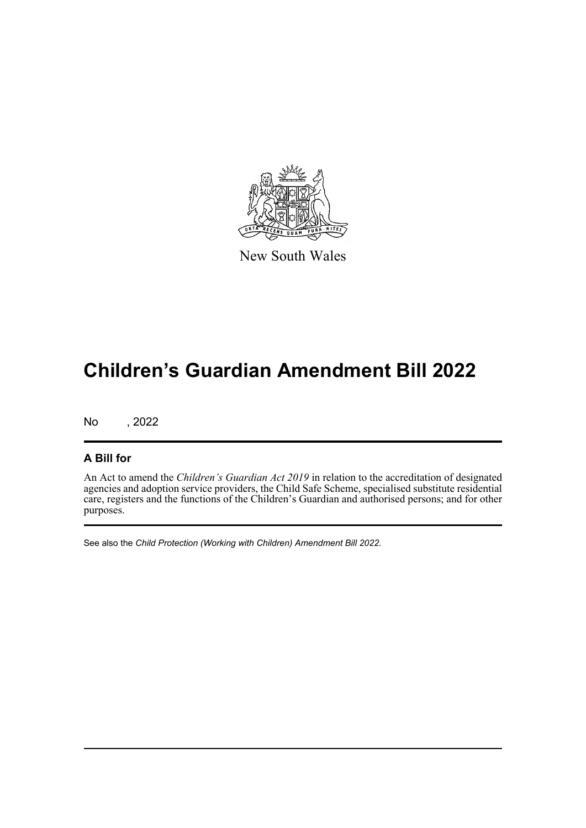

New South Wales

# **Children's Guardian Amendment Bill 2022**

No , 2022

## **A Bill for**

An Act to amend the *Children's Guardian Act 2019* in relation to the accreditation of designated agencies and adoption service providers, the Child Safe Scheme, specialised substitute residential care, registers and the functions of the Children's Guardian and authorised persons; and for other purposes.

See also the *Child Protection (Working with Children) Amendment Bill 2022*.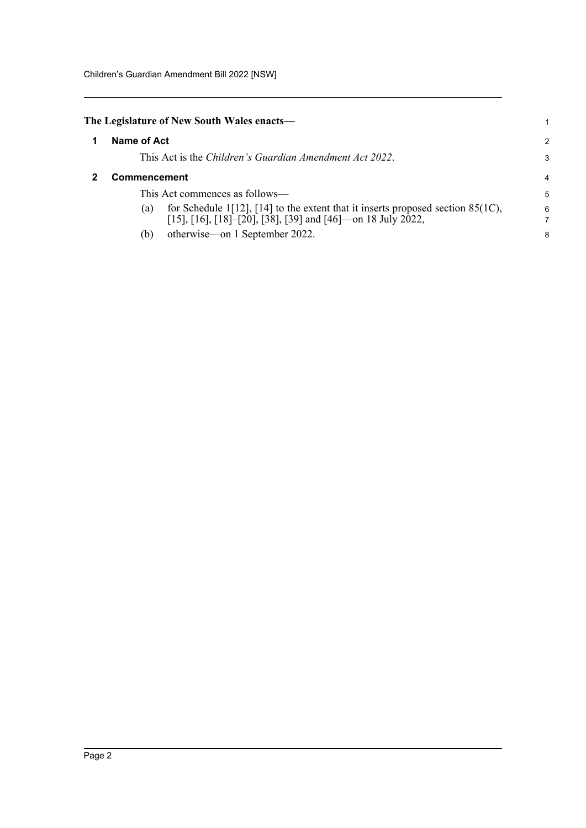## <span id="page-5-1"></span><span id="page-5-0"></span>**The Legislature of New South Wales enacts—**

|                     |             | The Legislature of New South Wales enacts—                                                                                                        |                |
|---------------------|-------------|---------------------------------------------------------------------------------------------------------------------------------------------------|----------------|
|                     | Name of Act |                                                                                                                                                   | $\mathcal{P}$  |
|                     |             | This Act is the <i>Children's Guardian Amendment Act 2022</i> .                                                                                   | 3              |
| <b>Commencement</b> |             |                                                                                                                                                   | $\overline{4}$ |
|                     |             | This Act commences as follows—                                                                                                                    | 5              |
|                     | (a)         | for Schedule 1[12], [14] to the extent that it inserts proposed section $85(1C)$ ,<br>[15], [16], [18]–[20], [38], [39] and [46]—on 18 July 2022, | 6              |
|                     | (b)         | otherwise—on 1 September 2022.                                                                                                                    | 8              |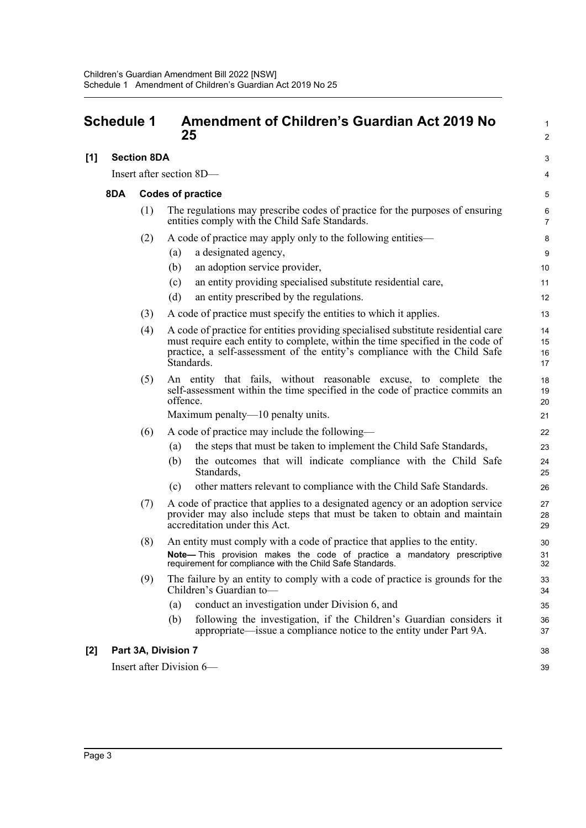#### <span id="page-6-0"></span>**Schedule 1 Amendment of Children's Guardian Act 2019 No 25 [1] Section 8DA** Insert after section 8D— **8DA Codes of practice** (1) The regulations may prescribe codes of practice for the purposes of ensuring entities comply with the Child Safe Standards. (2) A code of practice may apply only to the following entities— (a) a designated agency, (b) an adoption service provider, (c) an entity providing specialised substitute residential care, (d) an entity prescribed by the regulations. (3) A code of practice must specify the entities to which it applies. (4) A code of practice for entities providing specialised substitute residential care must require each entity to complete, within the time specified in the code of practice, a self-assessment of the entity's compliance with the Child Safe Standards. (5) An entity that fails, without reasonable excuse, to complete the self-assessment within the time specified in the code of practice commits an offence. Maximum penalty—10 penalty units. (6) A code of practice may include the following— (a) the steps that must be taken to implement the Child Safe Standards, (b) the outcomes that will indicate compliance with the Child Safe Standards, (c) other matters relevant to compliance with the Child Safe Standards. (7) A code of practice that applies to a designated agency or an adoption service provider may also include steps that must be taken to obtain and maintain accreditation under this Act. (8) An entity must comply with a code of practice that applies to the entity. **Note—** This provision makes the code of practice a mandatory prescriptive requirement for compliance with the Child Safe Standards. (9) The failure by an entity to comply with a code of practice is grounds for the Children's Guardian to— (a) conduct an investigation under Division 6, and (b) following the investigation, if the Children's Guardian considers it appropriate—issue a compliance notice to the entity under Part 9A. **[2] Part 3A, Division 7** Insert after Division 6— 1  $\mathcal{L}$ 3 4 5 6 7 8 9 10 11 12 13 14 15 16 17 18 19 20 21 22 23 24 25 26 27  $28$  $29$ 30 31 32 33 34 35 36 37 38 39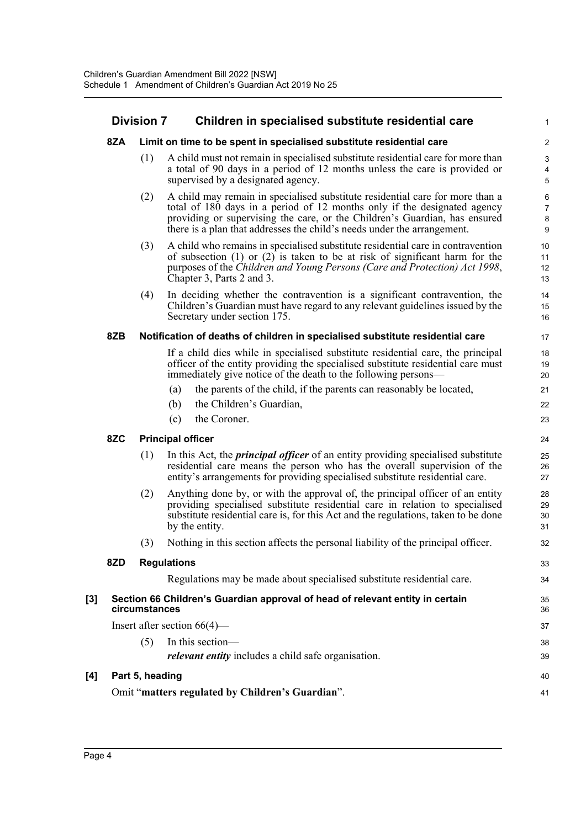|     | <b>Division 7</b> |                 | Children in specialised substitute residential care                                                                                                                                                                                                                                                                | 1                                   |
|-----|-------------------|-----------------|--------------------------------------------------------------------------------------------------------------------------------------------------------------------------------------------------------------------------------------------------------------------------------------------------------------------|-------------------------------------|
|     | 8ZA               |                 | Limit on time to be spent in specialised substitute residential care                                                                                                                                                                                                                                               | $\overline{2}$                      |
|     |                   | (1)             | A child must not remain in specialised substitute residential care for more than<br>a total of 90 days in a period of 12 months unless the care is provided or<br>supervised by a designated agency.                                                                                                               | $\ensuremath{\mathsf{3}}$<br>4<br>5 |
|     |                   | (2)             | A child may remain in specialised substitute residential care for more than a<br>total of 180 days in a period of 12 months only if the designated agency<br>providing or supervising the care, or the Children's Guardian, has ensured<br>there is a plan that addresses the child's needs under the arrangement. | 6<br>$\overline{7}$<br>$\bf 8$<br>9 |
|     |                   | (3)             | A child who remains in specialised substitute residential care in contravention<br>of subsection $(1)$ or $(2)$ is taken to be at risk of significant harm for the<br>purposes of the Children and Young Persons (Care and Protection) Act 1998,<br>Chapter 3, Parts 2 and 3.                                      | 10<br>11<br>12<br>13                |
|     |                   | (4)             | In deciding whether the contravention is a significant contravention, the<br>Children's Guardian must have regard to any relevant guidelines issued by the<br>Secretary under section 175.                                                                                                                         | 14<br>15<br>16                      |
|     | 8ZB               |                 | Notification of deaths of children in specialised substitute residential care                                                                                                                                                                                                                                      | 17                                  |
|     |                   |                 | If a child dies while in specialised substitute residential care, the principal<br>officer of the entity providing the specialised substitute residential care must<br>immediately give notice of the death to the following persons—                                                                              | 18<br>19<br>20                      |
|     |                   |                 | the parents of the child, if the parents can reasonably be located,<br>(a)                                                                                                                                                                                                                                         | 21                                  |
|     |                   |                 | the Children's Guardian,<br>(b)                                                                                                                                                                                                                                                                                    | 22                                  |
|     |                   |                 | the Coroner.<br>(c)                                                                                                                                                                                                                                                                                                | 23                                  |
|     | 8ZC               |                 | <b>Principal officer</b>                                                                                                                                                                                                                                                                                           | 24                                  |
|     |                   | (1)             | In this Act, the <i>principal officer</i> of an entity providing specialised substitute<br>residential care means the person who has the overall supervision of the<br>entity's arrangements for providing specialised substitute residential care.                                                                | 25<br>26<br>27                      |
|     |                   | (2)             | Anything done by, or with the approval of, the principal officer of an entity<br>providing specialised substitute residential care in relation to specialised<br>substitute residential care is, for this Act and the regulations, taken to be done<br>by the entity.                                              | 28<br>29<br>30<br>31                |
|     |                   | (3)             | Nothing in this section affects the personal liability of the principal officer.                                                                                                                                                                                                                                   | 32                                  |
|     | 8ZD               |                 | <b>Regulations</b>                                                                                                                                                                                                                                                                                                 | 33                                  |
|     |                   |                 | Regulations may be made about specialised substitute residential care.                                                                                                                                                                                                                                             | 34                                  |
| [3] |                   | circumstances   | Section 66 Children's Guardian approval of head of relevant entity in certain                                                                                                                                                                                                                                      | 35<br>36                            |
|     |                   |                 | Insert after section $66(4)$ —                                                                                                                                                                                                                                                                                     | 37                                  |
|     |                   | (5)             | In this section-                                                                                                                                                                                                                                                                                                   | 38                                  |
|     |                   |                 | relevant entity includes a child safe organisation.                                                                                                                                                                                                                                                                | 39                                  |
| [4] |                   | Part 5, heading |                                                                                                                                                                                                                                                                                                                    | 40                                  |
|     |                   |                 | Omit "matters regulated by Children's Guardian".                                                                                                                                                                                                                                                                   | 41                                  |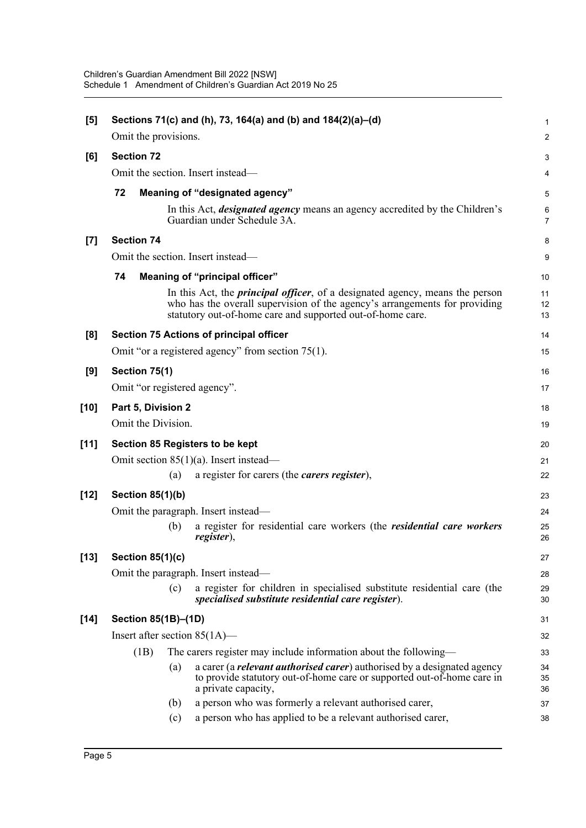| $[5]$  |                         |     | Sections 71(c) and (h), 73, 164(a) and (b) and 184(2)(a)–(d)                                                                                                                                                                     | 1                   |
|--------|-------------------------|-----|----------------------------------------------------------------------------------------------------------------------------------------------------------------------------------------------------------------------------------|---------------------|
|        | Omit the provisions.    |     |                                                                                                                                                                                                                                  | $\boldsymbol{2}$    |
| [6]    | <b>Section 72</b>       |     |                                                                                                                                                                                                                                  | 3                   |
|        |                         |     | Omit the section. Insert instead—                                                                                                                                                                                                | 4                   |
|        | 72                      |     | Meaning of "designated agency"                                                                                                                                                                                                   | 5                   |
|        |                         |     | In this Act, <i>designated agency</i> means an agency accredited by the Children's<br>Guardian under Schedule 3A.                                                                                                                | 6<br>$\overline{7}$ |
| $[7]$  | <b>Section 74</b>       |     |                                                                                                                                                                                                                                  | 8                   |
|        |                         |     | Omit the section. Insert instead—                                                                                                                                                                                                | 9                   |
|        | 74                      |     | Meaning of "principal officer"                                                                                                                                                                                                   | $10$                |
|        |                         |     | In this Act, the <i>principal officer</i> , of a designated agency, means the person<br>who has the overall supervision of the agency's arrangements for providing<br>statutory out-of-home care and supported out-of-home care. | 11<br>12<br>13      |
| [8]    |                         |     | <b>Section 75 Actions of principal officer</b>                                                                                                                                                                                   | 14                  |
|        |                         |     | Omit "or a registered agency" from section 75(1).                                                                                                                                                                                | 15                  |
| [9]    | Section 75(1)           |     |                                                                                                                                                                                                                                  | 16                  |
|        |                         |     | Omit "or registered agency".                                                                                                                                                                                                     | 17                  |
| $[10]$ | Part 5, Division 2      |     |                                                                                                                                                                                                                                  | 18                  |
|        | Omit the Division.      |     |                                                                                                                                                                                                                                  | 19                  |
| $[11]$ |                         |     | Section 85 Registers to be kept                                                                                                                                                                                                  | 20                  |
|        |                         |     | Omit section $85(1)(a)$ . Insert instead—                                                                                                                                                                                        | 21                  |
|        |                         | (a) | a register for carers (the <i>carers register</i> ),                                                                                                                                                                             | 22                  |
| $[12]$ | Section 85(1)(b)        |     |                                                                                                                                                                                                                                  | 23                  |
|        |                         |     | Omit the paragraph. Insert instead—                                                                                                                                                                                              | 24                  |
|        |                         | (b) | a register for residential care workers (the <i>residential care workers</i><br>register),                                                                                                                                       | 25<br>26            |
| $[13]$ | <b>Section 85(1)(c)</b> |     |                                                                                                                                                                                                                                  | 27                  |
|        |                         |     | Omit the paragraph. Insert instead—                                                                                                                                                                                              | 28                  |
|        |                         | (c) | a register for children in specialised substitute residential care (the<br>specialised substitute residential care register).                                                                                                    | 29<br>30            |
| $[14]$ | Section 85(1B)-(1D)     |     |                                                                                                                                                                                                                                  | 31                  |
|        |                         |     | Insert after section $85(1A)$ —                                                                                                                                                                                                  | 32                  |
|        | (1B)                    |     | The carers register may include information about the following—                                                                                                                                                                 | 33                  |
|        |                         | (a) | a carer (a <i>relevant authorised carer</i> ) authorised by a designated agency<br>to provide statutory out-of-home care or supported out-of-home care in<br>a private capacity,                                                 | 34<br>35<br>36      |
|        |                         | (b) | a person who was formerly a relevant authorised carer,                                                                                                                                                                           | 37                  |
|        |                         | (c) | a person who has applied to be a relevant authorised carer,                                                                                                                                                                      | 38                  |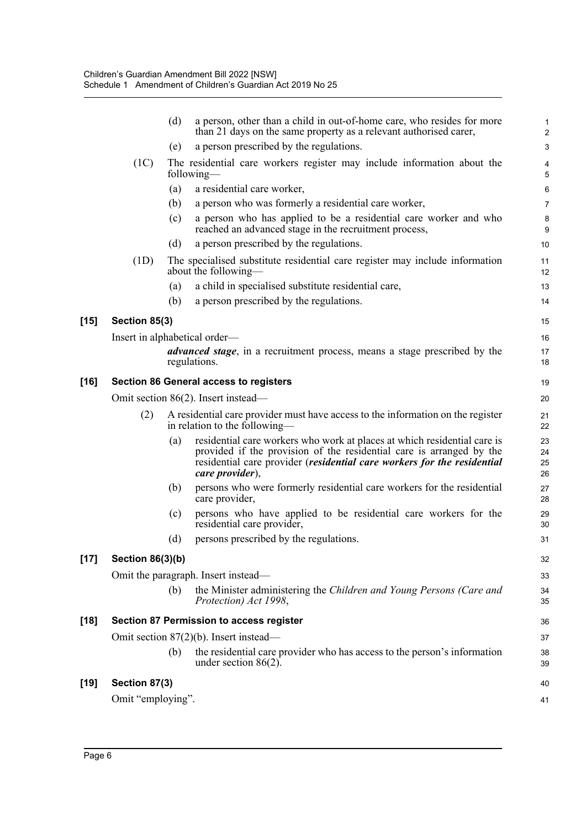|        |                               | (d) | a person, other than a child in out-of-home care, who resides for more<br>than 21 days on the same property as a relevant authorised carer,                                                                                                    | 1<br>$\overline{2}$  |
|--------|-------------------------------|-----|------------------------------------------------------------------------------------------------------------------------------------------------------------------------------------------------------------------------------------------------|----------------------|
|        |                               | (e) | a person prescribed by the regulations.                                                                                                                                                                                                        | $\mathbf{3}$         |
|        | (1C)                          |     | The residential care workers register may include information about the<br>following—                                                                                                                                                          | 4<br>5               |
|        |                               | (a) | a residential care worker,                                                                                                                                                                                                                     | 6                    |
|        |                               | (b) | a person who was formerly a residential care worker,                                                                                                                                                                                           | $\overline{7}$       |
|        |                               | (c) | a person who has applied to be a residential care worker and who<br>reached an advanced stage in the recruitment process,                                                                                                                      | $\bf 8$<br>9         |
|        |                               | (d) | a person prescribed by the regulations.                                                                                                                                                                                                        | 10                   |
|        | (1D)                          |     | The specialised substitute residential care register may include information<br>about the following—                                                                                                                                           | 11<br>12             |
|        |                               | (a) | a child in specialised substitute residential care,                                                                                                                                                                                            | 13                   |
|        |                               | (b) | a person prescribed by the regulations.                                                                                                                                                                                                        | 14                   |
| $[15]$ | Section 85(3)                 |     |                                                                                                                                                                                                                                                | 15                   |
|        | Insert in alphabetical order— |     |                                                                                                                                                                                                                                                | 16                   |
|        |                               |     | <i>advanced stage</i> , in a recruitment process, means a stage prescribed by the<br>regulations.                                                                                                                                              | 17<br>18             |
| $[16]$ |                               |     | <b>Section 86 General access to registers</b>                                                                                                                                                                                                  | 19                   |
|        |                               |     | Omit section 86(2). Insert instead—                                                                                                                                                                                                            | 20                   |
|        | (2)                           |     | A residential care provider must have access to the information on the register<br>in relation to the following—                                                                                                                               | 21<br>22             |
|        |                               | (a) | residential care workers who work at places at which residential care is<br>provided if the provision of the residential care is arranged by the<br>residential care provider (residential care workers for the residential<br>care provider), | 23<br>24<br>25<br>26 |
|        |                               | (b) | persons who were formerly residential care workers for the residential<br>care provider,                                                                                                                                                       | 27<br>28             |
|        |                               | (c) | persons who have applied to be residential care workers for the<br>residential care provider,                                                                                                                                                  | 29<br>30             |
|        |                               | (d) | persons prescribed by the regulations.                                                                                                                                                                                                         | 31                   |
| $[17]$ | <b>Section 86(3)(b)</b>       |     |                                                                                                                                                                                                                                                | 32                   |
|        |                               |     | Omit the paragraph. Insert instead—                                                                                                                                                                                                            | 33                   |
|        |                               | (b) | the Minister administering the Children and Young Persons (Care and<br>Protection) Act 1998,                                                                                                                                                   | 34<br>35             |
| $[18]$ |                               |     | <b>Section 87 Permission to access register</b>                                                                                                                                                                                                | 36                   |
|        |                               |     | Omit section $87(2)(b)$ . Insert instead—                                                                                                                                                                                                      | 37                   |
|        |                               | (b) | the residential care provider who has access to the person's information<br>under section $86(2)$ .                                                                                                                                            | 38<br>39             |
| $[19]$ | Section 87(3)                 |     |                                                                                                                                                                                                                                                | 40                   |
|        | Omit "employing".             |     |                                                                                                                                                                                                                                                | 41                   |
|        |                               |     |                                                                                                                                                                                                                                                |                      |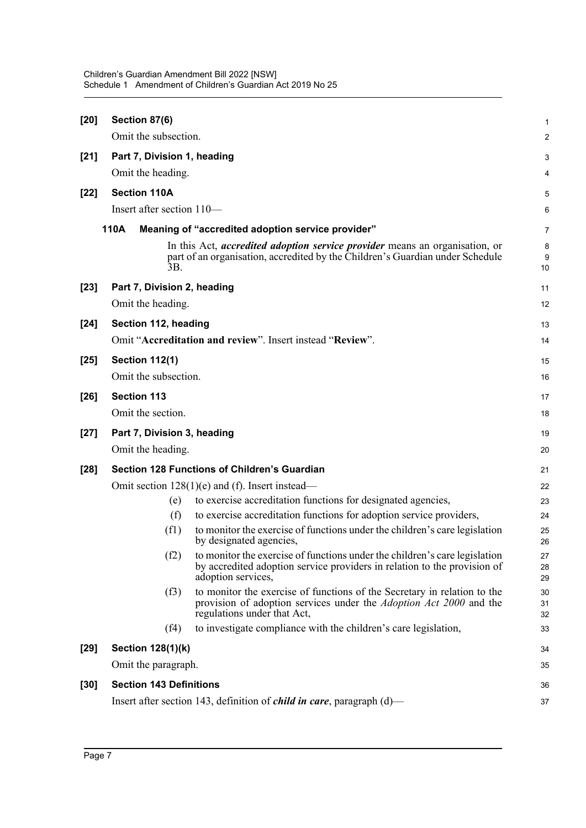| $[20]$ | Section 87(6)                  |                                                                                                                                                                                      | $\mathbf 1$    |
|--------|--------------------------------|--------------------------------------------------------------------------------------------------------------------------------------------------------------------------------------|----------------|
|        | Omit the subsection.           |                                                                                                                                                                                      | 2              |
| $[21]$ | Part 7, Division 1, heading    |                                                                                                                                                                                      | 3              |
|        | Omit the heading.              |                                                                                                                                                                                      | 4              |
| $[22]$ | <b>Section 110A</b>            |                                                                                                                                                                                      | 5              |
|        | Insert after section 110-      |                                                                                                                                                                                      | 6              |
|        | 110A                           | Meaning of "accredited adoption service provider"                                                                                                                                    | $\overline{7}$ |
|        | 3B.                            | In this Act, <i>accredited adoption service provider</i> means an organisation, or<br>part of an organisation, accredited by the Children's Guardian under Schedule                  | 8<br>9<br>10   |
| $[23]$ | Part 7, Division 2, heading    |                                                                                                                                                                                      | 11             |
|        | Omit the heading.              |                                                                                                                                                                                      | 12             |
| $[24]$ | Section 112, heading           |                                                                                                                                                                                      | 13             |
|        |                                | Omit "Accreditation and review". Insert instead "Review".                                                                                                                            | 14             |
| $[25]$ | <b>Section 112(1)</b>          |                                                                                                                                                                                      | 15             |
|        | Omit the subsection.           |                                                                                                                                                                                      | 16             |
| $[26]$ | <b>Section 113</b>             |                                                                                                                                                                                      | 17             |
|        | Omit the section.              |                                                                                                                                                                                      | 18             |
| $[27]$ | Part 7, Division 3, heading    |                                                                                                                                                                                      | 19             |
|        | Omit the heading.              |                                                                                                                                                                                      | 20             |
| $[28]$ |                                | <b>Section 128 Functions of Children's Guardian</b>                                                                                                                                  | 21             |
|        |                                | Omit section $128(1)(e)$ and (f). Insert instead—                                                                                                                                    | 22             |
|        | (e)                            | to exercise accreditation functions for designated agencies,                                                                                                                         | 23             |
|        | (f)                            | to exercise accreditation functions for adoption service providers,                                                                                                                  | 24             |
|        | (f1)                           | to monitor the exercise of functions under the children's care legislation<br>by designated agencies,                                                                                | 25<br>26       |
|        | (f2)                           | to monitor the exercise of functions under the children's care legislation<br>by accredited adoption service providers in relation to the provision of<br>adoption services,         | 27<br>28<br>29 |
|        | (f3)                           | to monitor the exercise of functions of the Secretary in relation to the<br>provision of adoption services under the <i>Adoption Act 2000</i> and the<br>regulations under that Act, | 30<br>31<br>32 |
|        | (f4)                           | to investigate compliance with the children's care legislation,                                                                                                                      | 33             |
| $[29]$ | Section 128(1)(k)              |                                                                                                                                                                                      | 34             |
|        | Omit the paragraph.            |                                                                                                                                                                                      | 35             |
| $[30]$ | <b>Section 143 Definitions</b> |                                                                                                                                                                                      | 36             |
|        |                                | Insert after section 143, definition of <i>child in care</i> , paragraph $(d)$ —                                                                                                     | 37             |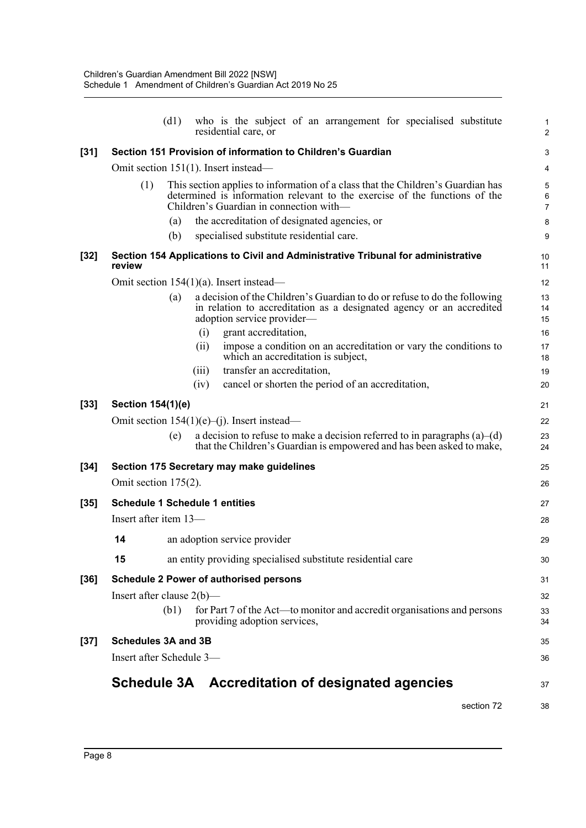|        |                                       | (d1) |       | who is the subject of an arrangement for specialised substitute<br>residential care, or                                                                                                                  | $\mathbf{1}$<br>2        |
|--------|---------------------------------------|------|-------|----------------------------------------------------------------------------------------------------------------------------------------------------------------------------------------------------------|--------------------------|
| $[31]$ |                                       |      |       | Section 151 Provision of information to Children's Guardian                                                                                                                                              | 3                        |
|        |                                       |      |       | Omit section 151(1). Insert instead—                                                                                                                                                                     | 4                        |
|        | (1)                                   |      |       | This section applies to information of a class that the Children's Guardian has<br>determined is information relevant to the exercise of the functions of the<br>Children's Guardian in connection with- | 5<br>6<br>$\overline{7}$ |
|        |                                       | (a)  |       | the accreditation of designated agencies, or                                                                                                                                                             | 8                        |
|        |                                       | (b)  |       | specialised substitute residential care.                                                                                                                                                                 | 9                        |
| $[32]$ | review                                |      |       | Section 154 Applications to Civil and Administrative Tribunal for administrative                                                                                                                         | 10<br>11                 |
|        |                                       |      |       | Omit section $154(1)(a)$ . Insert instead—                                                                                                                                                               | 12                       |
|        |                                       | (a)  |       | a decision of the Children's Guardian to do or refuse to do the following<br>in relation to accreditation as a designated agency or an accredited<br>adoption service provider-                          | 13<br>14<br>15           |
|        |                                       |      | (i)   | grant accreditation,                                                                                                                                                                                     | 16                       |
|        |                                       |      | (ii)  | impose a condition on an accreditation or vary the conditions to<br>which an accreditation is subject,                                                                                                   | 17<br>18                 |
|        |                                       |      | (iii) | transfer an accreditation,                                                                                                                                                                               | 19                       |
|        |                                       |      | (iv)  | cancel or shorten the period of an accreditation,                                                                                                                                                        | 20                       |
| $[33]$ | Section 154(1)(e)                     |      |       |                                                                                                                                                                                                          | 21                       |
|        |                                       |      |       | Omit section $154(1)(e)$ –(j). Insert instead—                                                                                                                                                           | 22                       |
|        |                                       | (e)  |       | a decision to refuse to make a decision referred to in paragraphs $(a)$ – $(d)$<br>that the Children's Guardian is empowered and has been asked to make,                                                 | 23<br>24                 |
| $[34]$ |                                       |      |       | Section 175 Secretary may make guidelines                                                                                                                                                                | 25                       |
|        | Omit section $175(2)$ .               |      |       |                                                                                                                                                                                                          | 26                       |
| $[35]$ | <b>Schedule 1 Schedule 1 entities</b> |      |       |                                                                                                                                                                                                          | 27                       |
|        | Insert after item 13-                 |      |       |                                                                                                                                                                                                          | 28                       |
|        | 14                                    |      |       | an adoption service provider                                                                                                                                                                             | 29                       |
|        | 15                                    |      |       | an entity providing specialised substitute residential care                                                                                                                                              | 30                       |
| $[36]$ |                                       |      |       | <b>Schedule 2 Power of authorised persons</b>                                                                                                                                                            | 31                       |
|        | Insert after clause $2(b)$ —          |      |       |                                                                                                                                                                                                          | 32                       |
|        |                                       | (b1) |       | for Part 7 of the Act—to monitor and accredit organisations and persons<br>providing adoption services,                                                                                                  | 33<br>34                 |
| $[37]$ | <b>Schedules 3A and 3B</b>            |      |       |                                                                                                                                                                                                          | 35                       |
|        | Insert after Schedule 3-              |      |       |                                                                                                                                                                                                          | 36                       |
|        |                                       |      |       | Schedule 3A Accreditation of designated agencies                                                                                                                                                         | 37                       |
|        |                                       |      |       | section 72                                                                                                                                                                                               | 38                       |
|        |                                       |      |       |                                                                                                                                                                                                          |                          |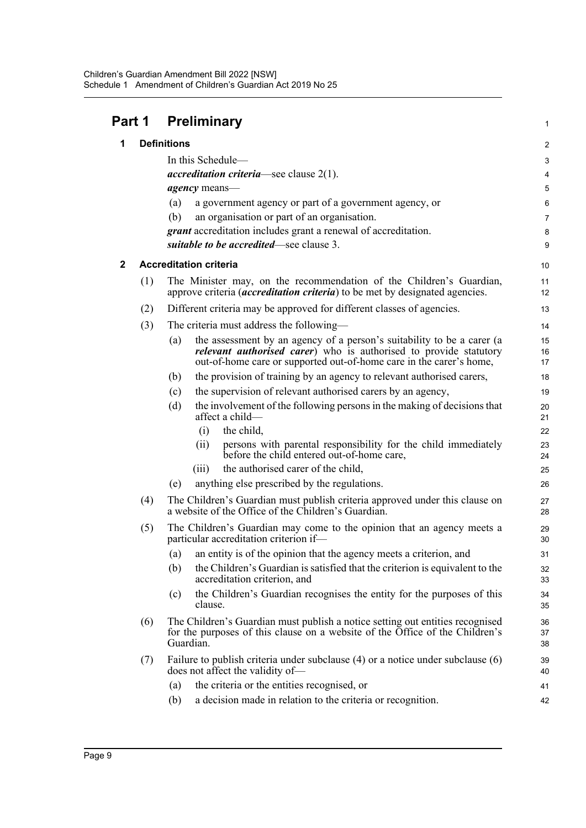| Part 1 |     | <b>Preliminary</b>                                                                                                                                                                                                                |                |  |
|--------|-----|-----------------------------------------------------------------------------------------------------------------------------------------------------------------------------------------------------------------------------------|----------------|--|
| 1      |     | <b>Definitions</b>                                                                                                                                                                                                                | $\overline{c}$ |  |
|        |     | In this Schedule-                                                                                                                                                                                                                 | 3              |  |
|        |     | <i>accreditation criteria</i> —see clause $2(1)$ .                                                                                                                                                                                | 4              |  |
|        |     | <i>agency</i> means-                                                                                                                                                                                                              | 5              |  |
|        |     | a government agency or part of a government agency, or<br>(a)                                                                                                                                                                     | 6              |  |
|        |     | (b)<br>an organisation or part of an organisation.                                                                                                                                                                                | $\overline{7}$ |  |
|        |     | <i>grant</i> accreditation includes grant a renewal of accreditation.<br>suitable to be accredited-see clause 3.                                                                                                                  | 8              |  |
|        |     |                                                                                                                                                                                                                                   | 9              |  |
| 2      |     | <b>Accreditation criteria</b>                                                                                                                                                                                                     | 10             |  |
|        | (1) | The Minister may, on the recommendation of the Children's Guardian,<br>approve criteria ( <i>accreditation criteria</i> ) to be met by designated agencies.                                                                       | 11<br>12       |  |
|        | (2) | Different criteria may be approved for different classes of agencies.                                                                                                                                                             | 13             |  |
|        | (3) | The criteria must address the following—                                                                                                                                                                                          | 14             |  |
|        |     | the assessment by an agency of a person's suitability to be a carer (a<br>(a)<br><i>relevant authorised carer</i> ) who is authorised to provide statutory<br>out-of-home care or supported out-of-home care in the carer's home, | 15<br>16<br>17 |  |
|        |     | the provision of training by an agency to relevant authorised carers,<br>(b)                                                                                                                                                      | 18             |  |
|        |     | the supervision of relevant authorised carers by an agency,<br>(c)                                                                                                                                                                | 19             |  |
|        |     | the involvement of the following persons in the making of decisions that<br>(d)<br>affect a child-                                                                                                                                | 20<br>21       |  |
|        |     | the child,<br>(i)                                                                                                                                                                                                                 | 22             |  |
|        |     | persons with parental responsibility for the child immediately<br>(i)<br>before the child entered out-of-home care,                                                                                                               | 23<br>24       |  |
|        |     | the authorised carer of the child,<br>(iii)                                                                                                                                                                                       | 25             |  |
|        |     | anything else prescribed by the regulations.<br>(e)                                                                                                                                                                               | 26             |  |
|        | (4) | The Children's Guardian must publish criteria approved under this clause on<br>a website of the Office of the Children's Guardian.                                                                                                | 27<br>28       |  |
|        | (5) | The Children's Guardian may come to the opinion that an agency meets a<br>particular accreditation criterion if-                                                                                                                  | 29<br>30       |  |
|        |     | (a) an entity is of the opinion that the agency meets a criterion, and                                                                                                                                                            | 31             |  |
|        |     | the Children's Guardian is satisfied that the criterion is equivalent to the<br>(b)<br>accreditation criterion, and                                                                                                               | 32<br>33       |  |
|        |     | the Children's Guardian recognises the entity for the purposes of this<br>(c)<br>clause.                                                                                                                                          | 34<br>35       |  |
|        | (6) | The Children's Guardian must publish a notice setting out entities recognised<br>for the purposes of this clause on a website of the Office of the Children's<br>Guardian.                                                        | 36<br>37<br>38 |  |
|        | (7) | Failure to publish criteria under subclause (4) or a notice under subclause (6)<br>does not affect the validity of-                                                                                                               | 39<br>40       |  |
|        |     | the criteria or the entities recognised, or<br>(a)                                                                                                                                                                                | 41             |  |
|        |     | a decision made in relation to the criteria or recognition.<br>(b)                                                                                                                                                                | 42             |  |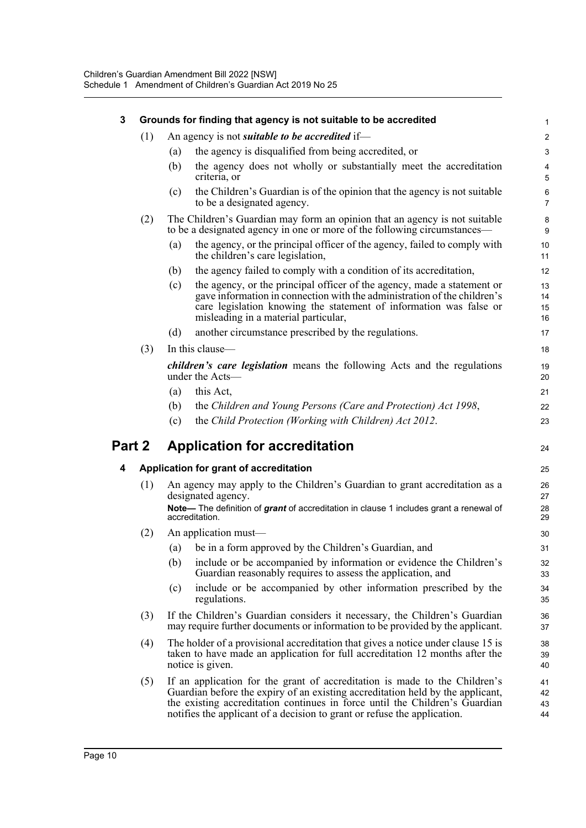| 3      |     |     | Grounds for finding that agency is not suitable to be accredited                                                                                                                                                                                                                                                        | 1                         |
|--------|-----|-----|-------------------------------------------------------------------------------------------------------------------------------------------------------------------------------------------------------------------------------------------------------------------------------------------------------------------------|---------------------------|
|        | (1) |     | An agency is not <i>suitable to be accredited</i> if—                                                                                                                                                                                                                                                                   | $\overline{c}$            |
|        |     | (a) | the agency is disqualified from being accredited, or                                                                                                                                                                                                                                                                    | 3                         |
|        |     | (b) | the agency does not wholly or substantially meet the accreditation<br>criteria, or                                                                                                                                                                                                                                      | $\overline{4}$<br>5       |
|        |     | (c) | the Children's Guardian is of the opinion that the agency is not suitable<br>to be a designated agency.                                                                                                                                                                                                                 | $\,6\,$<br>$\overline{7}$ |
|        | (2) |     | The Children's Guardian may form an opinion that an agency is not suitable<br>to be a designated agency in one or more of the following circumstances—                                                                                                                                                                  | 8<br>$\boldsymbol{9}$     |
|        |     | (a) | the agency, or the principal officer of the agency, failed to comply with<br>the children's care legislation,                                                                                                                                                                                                           | 10<br>11                  |
|        |     | (b) | the agency failed to comply with a condition of its accreditation,                                                                                                                                                                                                                                                      | 12                        |
|        |     | (c) | the agency, or the principal officer of the agency, made a statement or<br>gave information in connection with the administration of the children's<br>care legislation knowing the statement of information was false or<br>misleading in a material particular,                                                       | 13<br>14<br>15<br>16      |
|        |     | (d) | another circumstance prescribed by the regulations.                                                                                                                                                                                                                                                                     | 17                        |
|        | (3) |     | In this clause-                                                                                                                                                                                                                                                                                                         | 18                        |
|        |     |     | <i>children's care legislation</i> means the following Acts and the regulations<br>under the Acts-                                                                                                                                                                                                                      | 19<br>20                  |
|        |     | (a) | this Act,                                                                                                                                                                                                                                                                                                               | 21                        |
|        |     | (b) | the Children and Young Persons (Care and Protection) Act 1998,                                                                                                                                                                                                                                                          | 22                        |
|        |     | (c) | the Child Protection (Working with Children) Act 2012.                                                                                                                                                                                                                                                                  | 23                        |
| Part 2 |     |     | <b>Application for accreditation</b>                                                                                                                                                                                                                                                                                    | 24                        |
| 4      |     |     | Application for grant of accreditation                                                                                                                                                                                                                                                                                  | 25                        |
|        | (1) |     | An agency may apply to the Children's Guardian to grant accreditation as a<br>designated agency.                                                                                                                                                                                                                        | 26<br>27                  |
|        |     |     | Note— The definition of grant of accreditation in clause 1 includes grant a renewal of<br>accreditation.                                                                                                                                                                                                                | 28<br>29                  |
|        | (2) |     | An application must-                                                                                                                                                                                                                                                                                                    | 30                        |
|        |     | (a) | be in a form approved by the Children's Guardian, and                                                                                                                                                                                                                                                                   | 31                        |
|        |     | (b) | include or be accompanied by information or evidence the Children's<br>Guardian reasonably requires to assess the application, and                                                                                                                                                                                      | 32<br>33                  |
|        |     | (c) | include or be accompanied by other information prescribed by the<br>regulations.                                                                                                                                                                                                                                        | 34<br>35                  |
|        | (3) |     | If the Children's Guardian considers it necessary, the Children's Guardian<br>may require further documents or information to be provided by the applicant.                                                                                                                                                             | 36<br>37                  |
|        | (4) |     | The holder of a provisional accreditation that gives a notice under clause 15 is<br>taken to have made an application for full accreditation 12 months after the<br>notice is given.                                                                                                                                    | 38<br>39<br>40            |
|        | (5) |     | If an application for the grant of accreditation is made to the Children's<br>Guardian before the expiry of an existing accreditation held by the applicant,<br>the existing accreditation continues in force until the Children's Guardian<br>notifies the applicant of a decision to grant or refuse the application. | 41<br>42<br>43<br>44      |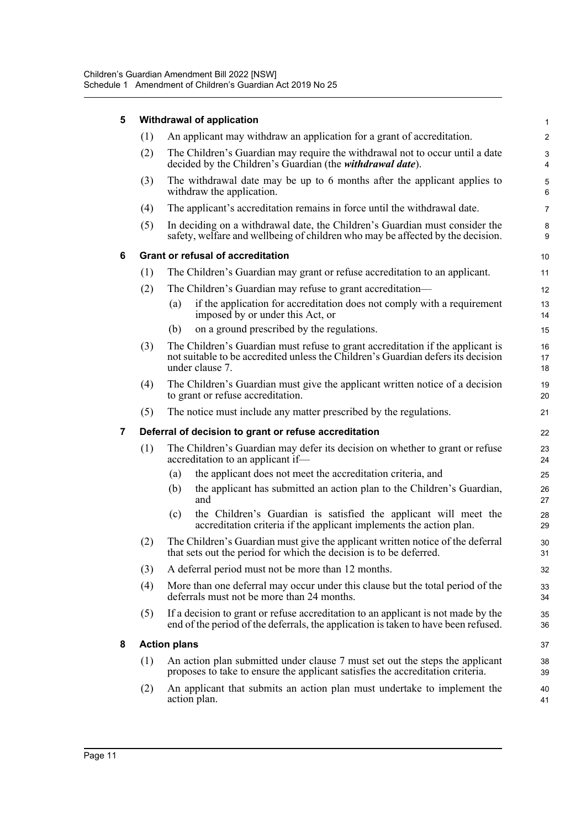| 5 | Withdrawal of application |                                                                                                                                                                                       |                                        |  |  |  |
|---|---------------------------|---------------------------------------------------------------------------------------------------------------------------------------------------------------------------------------|----------------------------------------|--|--|--|
|   | (1)                       | An applicant may withdraw an application for a grant of accreditation.                                                                                                                | $\overline{c}$                         |  |  |  |
|   | (2)                       | The Children's Guardian may require the withdrawal not to occur until a date<br>decided by the Children's Guardian (the withdrawal date).                                             | 3<br>4                                 |  |  |  |
|   | (3)                       | The withdrawal date may be up to 6 months after the applicant applies to<br>withdraw the application.                                                                                 | 5<br>6                                 |  |  |  |
|   | (4)                       | The applicant's accreditation remains in force until the withdrawal date.                                                                                                             | 7                                      |  |  |  |
|   | (5)                       | In deciding on a withdrawal date, the Children's Guardian must consider the<br>safety, welfare and wellbeing of children who may be affected by the decision.                         | 8<br>9                                 |  |  |  |
| 6 |                           | <b>Grant or refusal of accreditation</b>                                                                                                                                              | 10                                     |  |  |  |
|   | (1)                       | The Children's Guardian may grant or refuse accreditation to an applicant.                                                                                                            | 11                                     |  |  |  |
|   | (2)                       | The Children's Guardian may refuse to grant accreditation—                                                                                                                            | 12                                     |  |  |  |
|   |                           | if the application for accreditation does not comply with a requirement<br>(a)<br>imposed by or under this Act, or                                                                    | 13<br>14                               |  |  |  |
|   |                           | (b)<br>on a ground prescribed by the regulations.                                                                                                                                     | 15                                     |  |  |  |
|   | (3)                       | The Children's Guardian must refuse to grant accreditation if the applicant is<br>not suitable to be accredited unless the Children's Guardian defers its decision<br>under clause 7. | 16<br>17<br>18                         |  |  |  |
|   | (4)                       | The Children's Guardian must give the applicant written notice of a decision<br>to grant or refuse accreditation.                                                                     | 19<br>20                               |  |  |  |
|   | (5)                       | The notice must include any matter prescribed by the regulations.                                                                                                                     | 21                                     |  |  |  |
| 7 |                           | Deferral of decision to grant or refuse accreditation                                                                                                                                 | 22                                     |  |  |  |
|   | (1)                       | The Children's Guardian may defer its decision on whether to grant or refuse<br>accreditation to an applicant if-                                                                     | 23<br>24                               |  |  |  |
|   |                           |                                                                                                                                                                                       |                                        |  |  |  |
|   |                           | the applicant does not meet the accreditation criteria, and<br>(a)                                                                                                                    | 25                                     |  |  |  |
|   |                           | the applicant has submitted an action plan to the Children's Guardian,<br>(b)<br>and                                                                                                  | 26<br>27                               |  |  |  |
|   |                           | the Children's Guardian is satisfied the applicant will meet the<br>(c)<br>accreditation criteria if the applicant implements the action plan.                                        | 28<br>29                               |  |  |  |
|   | (2)                       | The Children's Guardian must give the applicant written notice of the deferral<br>that sets out the period for which the decision is to be deferred.                                  | 30<br>31                               |  |  |  |
|   | (3)                       | A deferral period must not be more than 12 months.                                                                                                                                    | 32                                     |  |  |  |
|   | (4)                       | More than one deferral may occur under this clause but the total period of the<br>deferrals must not be more than 24 months.                                                          | 33<br>34                               |  |  |  |
|   | (5)                       | If a decision to grant or refuse accreditation to an applicant is not made by the<br>end of the period of the deferrals, the application is taken to have been refused.               |                                        |  |  |  |
| 8 |                           | <b>Action plans</b>                                                                                                                                                                   |                                        |  |  |  |
|   | (1)                       | An action plan submitted under clause 7 must set out the steps the applicant<br>proposes to take to ensure the applicant satisfies the accreditation criteria.                        |                                        |  |  |  |
|   | (2)                       | An applicant that submits an action plan must undertake to implement the<br>action plan.                                                                                              | 35<br>36<br>37<br>38<br>39<br>40<br>41 |  |  |  |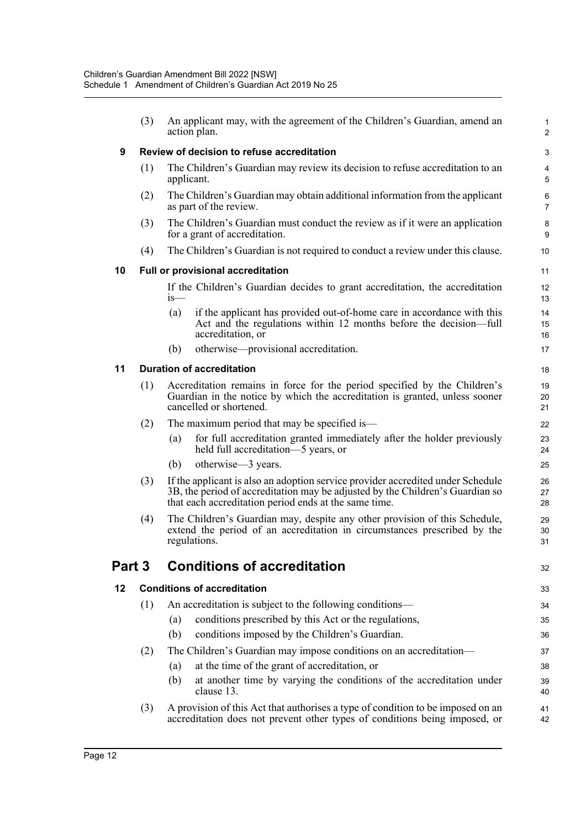|        | (3) | An applicant may, with the agreement of the Children's Guardian, amend an<br>action plan.                                                                                                                                 |                |  |  |  |  |
|--------|-----|---------------------------------------------------------------------------------------------------------------------------------------------------------------------------------------------------------------------------|----------------|--|--|--|--|
| 9      |     | Review of decision to refuse accreditation                                                                                                                                                                                |                |  |  |  |  |
|        | (1) | The Children's Guardian may review its decision to refuse accreditation to an<br>applicant.                                                                                                                               | 4<br>5         |  |  |  |  |
|        | (2) | The Children's Guardian may obtain additional information from the applicant<br>as part of the review.                                                                                                                    |                |  |  |  |  |
|        | (3) | The Children's Guardian must conduct the review as if it were an application<br>for a grant of accreditation.                                                                                                             | 8<br>9         |  |  |  |  |
|        | (4) | The Children's Guardian is not required to conduct a review under this clause.                                                                                                                                            | 10             |  |  |  |  |
| 10     |     | <b>Full or provisional accreditation</b>                                                                                                                                                                                  | 11             |  |  |  |  |
|        |     | If the Children's Guardian decides to grant accreditation, the accreditation<br>is—                                                                                                                                       | 12<br>13       |  |  |  |  |
|        |     | if the applicant has provided out-of-home care in accordance with this<br>(a)<br>Act and the regulations within 12 months before the decision—full<br>accreditation, or                                                   | 14<br>15<br>16 |  |  |  |  |
|        |     | otherwise—provisional accreditation.<br>(b)                                                                                                                                                                               | 17             |  |  |  |  |
| 11     |     | <b>Duration of accreditation</b>                                                                                                                                                                                          | 18             |  |  |  |  |
|        | (1) | Accreditation remains in force for the period specified by the Children's<br>Guardian in the notice by which the accreditation is granted, unless sooner<br>cancelled or shortened.                                       | 19<br>20<br>21 |  |  |  |  |
|        | (2) | The maximum period that may be specified is—                                                                                                                                                                              | 22             |  |  |  |  |
|        |     | for full accreditation granted immediately after the holder previously<br>(a)<br>held full accreditation-5 years, or                                                                                                      | 23<br>24       |  |  |  |  |
|        |     | (b)<br>otherwise—3 years.                                                                                                                                                                                                 | 25             |  |  |  |  |
|        | (3) | If the applicant is also an adoption service provider accredited under Schedule<br>3B, the period of accreditation may be adjusted by the Children's Guardian so<br>that each accreditation period ends at the same time. | 26<br>27<br>28 |  |  |  |  |
|        | (4) | The Children's Guardian may, despite any other provision of this Schedule,<br>extend the period of an accreditation in circumstances prescribed by the<br>regulations.                                                    | 29<br>30<br>31 |  |  |  |  |
| Part 3 |     | <b>Conditions of accreditation</b>                                                                                                                                                                                        | 32             |  |  |  |  |
| 12     |     | <b>Conditions of accreditation</b>                                                                                                                                                                                        | 33             |  |  |  |  |
|        | (1) | An accreditation is subject to the following conditions-                                                                                                                                                                  | 34             |  |  |  |  |
|        |     | conditions prescribed by this Act or the regulations,<br>(a)                                                                                                                                                              | 35             |  |  |  |  |
|        |     | (b)<br>conditions imposed by the Children's Guardian.                                                                                                                                                                     | 36             |  |  |  |  |
|        | (2) | The Children's Guardian may impose conditions on an accreditation-                                                                                                                                                        | 37             |  |  |  |  |
|        |     | at the time of the grant of accreditation, or<br>(a)                                                                                                                                                                      | 38             |  |  |  |  |
|        |     | at another time by varying the conditions of the accreditation under<br>(b)<br>clause 13.                                                                                                                                 | 39<br>40       |  |  |  |  |
|        | (3) | A provision of this Act that authorises a type of condition to be imposed on an<br>accreditation does not prevent other types of conditions being imposed, or                                                             | 41<br>42       |  |  |  |  |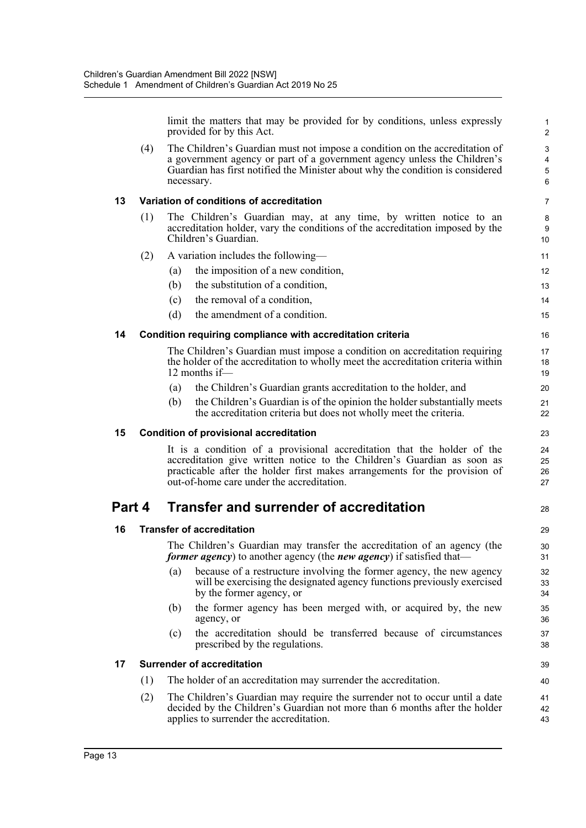limit the matters that may be provided for by conditions, unless expressly provided for by this Act.

28

39 40

(4) The Children's Guardian must not impose a condition on the accreditation of a government agency or part of a government agency unless the Children's Guardian has first notified the Minister about why the condition is considered necessary.

### **13 Variation of conditions of accreditation**

(1) The Children's Guardian may, at any time, by written notice to an accreditation holder, vary the conditions of the accreditation imposed by the Children's Guardian.

## (2) A variation includes the following—

- (a) the imposition of a new condition,
- (b) the substitution of a condition,
- (c) the removal of a condition,
- (d) the amendment of a condition.

### **14 Condition requiring compliance with accreditation criteria**

The Children's Guardian must impose a condition on accreditation requiring the holder of the accreditation to wholly meet the accreditation criteria within 12 months if—

- (a) the Children's Guardian grants accreditation to the holder, and
- (b) the Children's Guardian is of the opinion the holder substantially meets the accreditation criteria but does not wholly meet the criteria.

### **15 Condition of provisional accreditation**

It is a condition of a provisional accreditation that the holder of the accreditation give written notice to the Children's Guardian as soon as practicable after the holder first makes arrangements for the provision of out-of-home care under the accreditation.

## **Part 4 Transfer and surrender of accreditation**

### **16 Transfer of accreditation**

The Children's Guardian may transfer the accreditation of an agency (the *former agency*) to another agency (the *new agency*) if satisfied that—

- (a) because of a restructure involving the former agency, the new agency will be exercising the designated agency functions previously exercised by the former agency, or
- (b) the former agency has been merged with, or acquired by, the new agency, or
- (c) the accreditation should be transferred because of circumstances prescribed by the regulations.

### **17 Surrender of accreditation**

- (1) The holder of an accreditation may surrender the accreditation.
- (2) The Children's Guardian may require the surrender not to occur until a date decided by the Children's Guardian not more than 6 months after the holder applies to surrender the accreditation.  $\overline{11}$ 42 43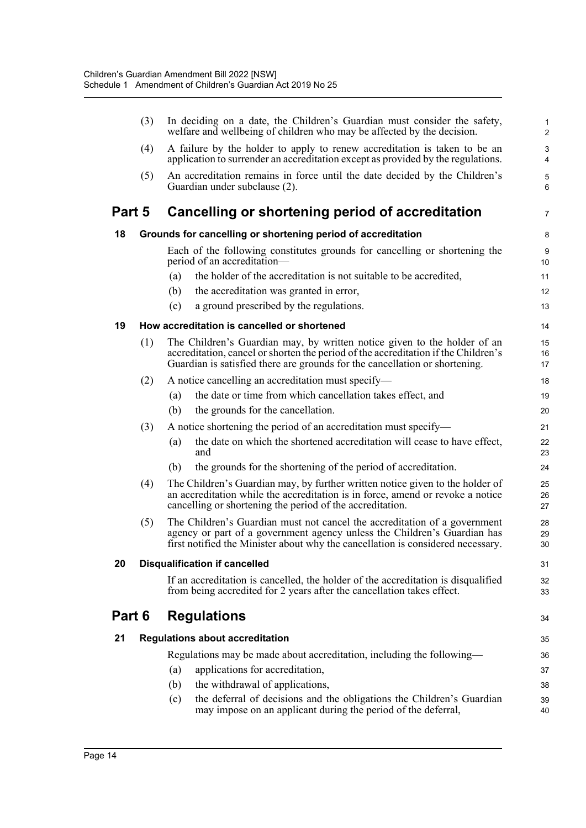|        | (3) |     | In deciding on a date, the Children's Guardian must consider the safety,<br>welfare and wellbeing of children who may be affected by the decision.                                                                                            | $\mathbf{1}$<br>$\overline{2}$ |
|--------|-----|-----|-----------------------------------------------------------------------------------------------------------------------------------------------------------------------------------------------------------------------------------------------|--------------------------------|
|        | (4) |     | A failure by the holder to apply to renew accreditation is taken to be an<br>application to surrender an accreditation except as provided by the regulations.                                                                                 | 3<br>4                         |
|        | (5) |     | An accreditation remains in force until the date decided by the Children's<br>Guardian under subclause (2).                                                                                                                                   | $\sqrt{5}$<br>6                |
| Part 5 |     |     | Cancelling or shortening period of accreditation                                                                                                                                                                                              | $\overline{7}$                 |
| 18     |     |     | Grounds for cancelling or shortening period of accreditation                                                                                                                                                                                  | 8                              |
|        |     |     | Each of the following constitutes grounds for cancelling or shortening the<br>period of an accreditation-                                                                                                                                     | 9<br>10                        |
|        |     | (a) | the holder of the accreditation is not suitable to be accredited,                                                                                                                                                                             | 11                             |
|        |     | (b) | the accreditation was granted in error,                                                                                                                                                                                                       | 12                             |
|        |     | (c) | a ground prescribed by the regulations.                                                                                                                                                                                                       | 13                             |
| 19     |     |     | How accreditation is cancelled or shortened                                                                                                                                                                                                   | 14                             |
|        | (1) |     | The Children's Guardian may, by written notice given to the holder of an<br>accreditation, cancel or shorten the period of the accreditation if the Children's<br>Guardian is satisfied there are grounds for the cancellation or shortening. | 15<br>16<br>17                 |
|        | (2) |     | A notice cancelling an accreditation must specify-                                                                                                                                                                                            | 18                             |
|        |     | (a) | the date or time from which cancellation takes effect, and                                                                                                                                                                                    | 19                             |
|        |     | (b) | the grounds for the cancellation.                                                                                                                                                                                                             | 20                             |
|        | (3) |     | A notice shortening the period of an accreditation must specify—                                                                                                                                                                              | 21                             |
|        |     | (a) | the date on which the shortened accreditation will cease to have effect,<br>and                                                                                                                                                               | 22<br>23                       |
|        |     | (b) | the grounds for the shortening of the period of accreditation.                                                                                                                                                                                | 24                             |
|        | (4) |     | The Children's Guardian may, by further written notice given to the holder of<br>an accreditation while the accreditation is in force, amend or revoke a notice<br>cancelling or shortening the period of the accreditation.                  | 25<br>26<br>27                 |
|        | (5) |     | The Children's Guardian must not cancel the accreditation of a government<br>agency or part of a government agency unless the Children's Guardian has<br>first notified the Minister about why the cancellation is considered necessary.      | 28<br>29<br>30                 |
| 20     |     |     | <b>Disqualification if cancelled</b>                                                                                                                                                                                                          | 31                             |
|        |     |     | If an accreditation is cancelled, the holder of the accreditation is disqualified<br>from being accredited for 2 years after the cancellation takes effect.                                                                                   | 32<br>33                       |
| Part 6 |     |     | <b>Regulations</b>                                                                                                                                                                                                                            | 34                             |
| 21     |     |     | <b>Regulations about accreditation</b>                                                                                                                                                                                                        | 35                             |
|        |     |     | Regulations may be made about accreditation, including the following—                                                                                                                                                                         | 36                             |
|        |     | (a) | applications for accreditation,                                                                                                                                                                                                               | 37                             |
|        |     | (b) | the withdrawal of applications,                                                                                                                                                                                                               | 38                             |
|        |     | (c) | the deferral of decisions and the obligations the Children's Guardian<br>may impose on an applicant during the period of the deferral,                                                                                                        | 39<br>40                       |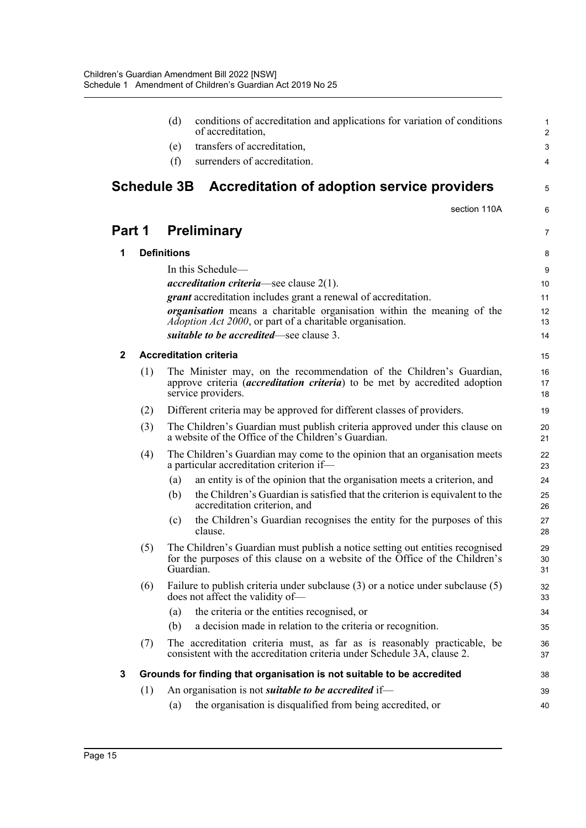|              |     | (d)                | conditions of accreditation and applications for variation of conditions<br>of accreditation.                                                                                  | $\mathbf{1}$<br>$\overline{2}$ |
|--------------|-----|--------------------|--------------------------------------------------------------------------------------------------------------------------------------------------------------------------------|--------------------------------|
|              |     | (e)                | transfers of accreditation,                                                                                                                                                    | 3                              |
|              |     | (f)                | surrenders of accreditation.                                                                                                                                                   | 4                              |
|              |     |                    |                                                                                                                                                                                |                                |
|              |     | <b>Schedule 3B</b> | Accreditation of adoption service providers                                                                                                                                    | 5                              |
|              |     |                    | section 110A                                                                                                                                                                   | 6                              |
| Part 1       |     |                    | <b>Preliminary</b>                                                                                                                                                             | $\overline{7}$                 |
| 1            |     | <b>Definitions</b> |                                                                                                                                                                                | 8                              |
|              |     |                    | In this Schedule—                                                                                                                                                              | 9                              |
|              |     |                    | <i>accreditation criteria</i> —see clause $2(1)$ .                                                                                                                             | 10 <sup>°</sup>                |
|              |     |                    | <i>grant</i> accreditation includes grant a renewal of accreditation.                                                                                                          | 11                             |
|              |     |                    | <i>organisation</i> means a charitable organisation within the meaning of the<br><i>Adoption Act 2000</i> , or part of a charitable organisation.                              | 12<br>13                       |
|              |     |                    | suitable to be accredited—see clause 3.                                                                                                                                        | 14                             |
| $\mathbf{2}$ |     |                    | <b>Accreditation criteria</b>                                                                                                                                                  |                                |
|              |     |                    |                                                                                                                                                                                | 15                             |
|              | (1) |                    | The Minister may, on the recommendation of the Children's Guardian,<br>approve criteria <i>(accreditation criteria)</i> to be met by accredited adoption<br>service providers. | 16<br>17<br>18                 |
|              | (2) |                    | Different criteria may be approved for different classes of providers.                                                                                                         | 19                             |
|              | (3) |                    | The Children's Guardian must publish criteria approved under this clause on<br>a website of the Office of the Children's Guardian.                                             | 20<br>21                       |
|              | (4) |                    | The Children's Guardian may come to the opinion that an organisation meets<br>a particular accreditation criterion if-                                                         | 22<br>23                       |
|              |     | (a)                | an entity is of the opinion that the organisation meets a criterion, and                                                                                                       | 24                             |
|              |     | (b)                | the Children's Guardian is satisfied that the criterion is equivalent to the<br>accreditation criterion, and                                                                   | 25<br>26                       |
|              |     | (c)                | the Children's Guardian recognises the entity for the purposes of this<br>clause.                                                                                              | 27<br>28                       |
|              | (5) |                    | The Children's Guardian must publish a notice setting out entities recognised<br>for the purposes of this clause on a website of the Office of the Children's<br>Guardian.     | 29<br>30<br>31                 |
|              | (6) |                    | Failure to publish criteria under subclause $(3)$ or a notice under subclause $(5)$<br>does not affect the validity of-                                                        | 32<br>33                       |
|              |     | (a)                | the criteria or the entities recognised, or                                                                                                                                    | 34                             |
|              |     | (b)                | a decision made in relation to the criteria or recognition.                                                                                                                    | 35                             |
|              | (7) |                    | The accreditation criteria must, as far as is reasonably practicable, be<br>consistent with the accreditation criteria under Schedule 3A, clause 2.                            | 36<br>37                       |
| 3            |     |                    | Grounds for finding that organisation is not suitable to be accredited                                                                                                         | 38                             |
|              | (1) |                    | An organisation is not <i>suitable to be accredited</i> if-                                                                                                                    | 39                             |
|              |     | (a)                | the organisation is disqualified from being accredited, or                                                                                                                     | 40                             |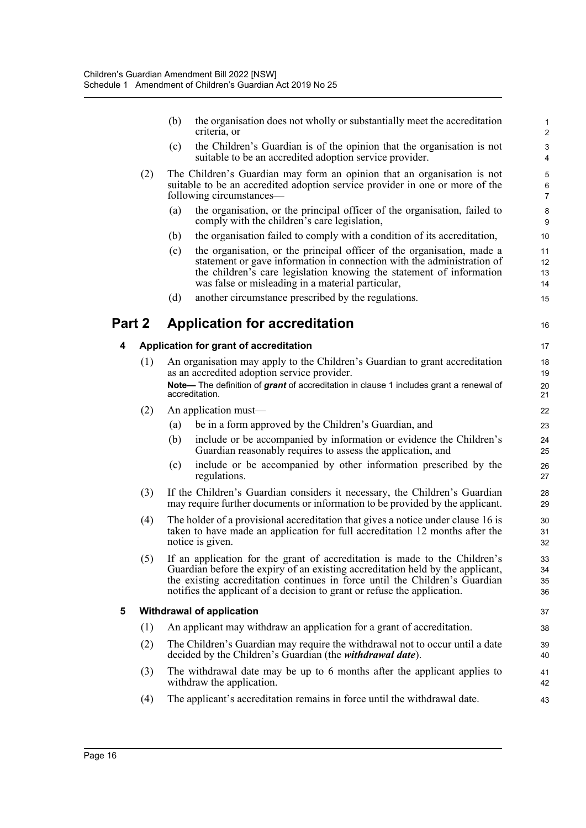|        |     | (b) | the organisation does not wholly or substantially meet the accreditation<br>criteria, or                                                                                                                                                                                                                                | $\mathbf{1}$<br>$\overline{2}$ |
|--------|-----|-----|-------------------------------------------------------------------------------------------------------------------------------------------------------------------------------------------------------------------------------------------------------------------------------------------------------------------------|--------------------------------|
|        |     | (c) | the Children's Guardian is of the opinion that the organisation is not<br>suitable to be an accredited adoption service provider.                                                                                                                                                                                       | $\mathbf{3}$<br>4              |
|        | (2) |     | The Children's Guardian may form an opinion that an organisation is not<br>suitable to be an accredited adoption service provider in one or more of the<br>following circumstances—                                                                                                                                     | 5<br>6<br>$\overline{7}$       |
|        |     | (a) | the organisation, or the principal officer of the organisation, failed to<br>comply with the children's care legislation,                                                                                                                                                                                               | 8<br>9                         |
|        |     | (b) | the organisation failed to comply with a condition of its accreditation,                                                                                                                                                                                                                                                | 10                             |
|        |     | (c) | the organisation, or the principal officer of the organisation, made a<br>statement or gave information in connection with the administration of<br>the children's care legislation knowing the statement of information<br>was false or misleading in a material particular,                                           | 11<br>12<br>13<br>14           |
|        |     | (d) | another circumstance prescribed by the regulations.                                                                                                                                                                                                                                                                     | 15                             |
| Part 2 |     |     | <b>Application for accreditation</b>                                                                                                                                                                                                                                                                                    | 16                             |
| 4      |     |     | Application for grant of accreditation                                                                                                                                                                                                                                                                                  | 17                             |
|        | (1) |     | An organisation may apply to the Children's Guardian to grant accreditation<br>as an accredited adoption service provider.                                                                                                                                                                                              | 18<br>19                       |
|        |     |     | Note— The definition of grant of accreditation in clause 1 includes grant a renewal of<br>accreditation.                                                                                                                                                                                                                | 20<br>21                       |
|        | (2) |     | An application must-                                                                                                                                                                                                                                                                                                    | 22                             |
|        |     | (a) | be in a form approved by the Children's Guardian, and                                                                                                                                                                                                                                                                   | 23                             |
|        |     | (b) | include or be accompanied by information or evidence the Children's<br>Guardian reasonably requires to assess the application, and                                                                                                                                                                                      | 24<br>25                       |
|        |     | (c) | include or be accompanied by other information prescribed by the<br>regulations.                                                                                                                                                                                                                                        | 26<br>27                       |
|        | (3) |     | If the Children's Guardian considers it necessary, the Children's Guardian<br>may require further documents or information to be provided by the applicant.                                                                                                                                                             | 28<br>29                       |
|        | (4) |     | The holder of a provisional accreditation that gives a notice under clause 16 is<br>taken to have made an application for full accreditation 12 months after the<br>notice is given.                                                                                                                                    | 30<br>31<br>32                 |
|        | (5) |     | If an application for the grant of accreditation is made to the Children's<br>Guardian before the expiry of an existing accreditation held by the applicant,<br>the existing accreditation continues in force until the Children's Guardian<br>notifies the applicant of a decision to grant or refuse the application. | 33<br>34<br>35<br>36           |
| 5      |     |     | <b>Withdrawal of application</b>                                                                                                                                                                                                                                                                                        | 37                             |
|        | (1) |     | An applicant may withdraw an application for a grant of accreditation.                                                                                                                                                                                                                                                  | 38                             |
|        | (2) |     | The Children's Guardian may require the withdrawal not to occur until a date<br>decided by the Children's Guardian (the <i>withdrawal date</i> ).                                                                                                                                                                       | 39<br>40                       |
|        | (3) |     | The withdrawal date may be up to 6 months after the applicant applies to<br>withdraw the application.                                                                                                                                                                                                                   | 41<br>42                       |
|        | (4) |     | The applicant's accreditation remains in force until the withdrawal date.                                                                                                                                                                                                                                               | 43                             |
|        |     |     |                                                                                                                                                                                                                                                                                                                         |                                |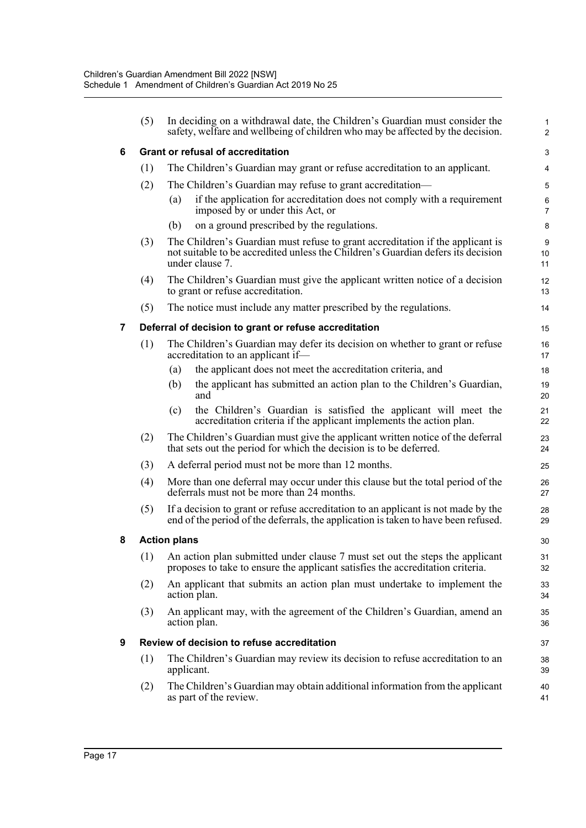|                | (5) | In deciding on a withdrawal date, the Children's Guardian must consider the<br>safety, welfare and wellbeing of children who may be affected by the decision.                         | $\mathbf{1}$<br>$\overline{2}$ |
|----------------|-----|---------------------------------------------------------------------------------------------------------------------------------------------------------------------------------------|--------------------------------|
| 6              |     | <b>Grant or refusal of accreditation</b>                                                                                                                                              | 3                              |
|                | (1) | The Children's Guardian may grant or refuse accreditation to an applicant.                                                                                                            | 4                              |
|                | (2) | The Children's Guardian may refuse to grant accreditation—                                                                                                                            | $\sqrt{5}$                     |
|                |     | if the application for accreditation does not comply with a requirement<br>(a)<br>imposed by or under this Act, or                                                                    | $\,6\,$<br>$\overline{7}$      |
|                |     | on a ground prescribed by the regulations.<br>(b)                                                                                                                                     | 8                              |
|                | (3) | The Children's Guardian must refuse to grant accreditation if the applicant is<br>not suitable to be accredited unless the Children's Guardian defers its decision<br>under clause 7. | $\boldsymbol{9}$<br>10<br>11   |
|                | (4) | The Children's Guardian must give the applicant written notice of a decision<br>to grant or refuse accreditation.                                                                     | 12<br>13                       |
|                | (5) | The notice must include any matter prescribed by the regulations.                                                                                                                     | 14                             |
| $\overline{7}$ |     | Deferral of decision to grant or refuse accreditation                                                                                                                                 | 15                             |
|                | (1) | The Children's Guardian may defer its decision on whether to grant or refuse<br>accreditation to an applicant if-                                                                     | 16<br>17                       |
|                |     | the applicant does not meet the accreditation criteria, and<br>(a)                                                                                                                    | 18                             |
|                |     | the applicant has submitted an action plan to the Children's Guardian,<br>(b)<br>and                                                                                                  | 19<br>20                       |
|                |     | the Children's Guardian is satisfied the applicant will meet the<br>(c)<br>accreditation criteria if the applicant implements the action plan.                                        | 21<br>22                       |
|                | (2) | The Children's Guardian must give the applicant written notice of the deferral<br>that sets out the period for which the decision is to be deferred.                                  | 23<br>24                       |
|                | (3) | A deferral period must not be more than 12 months.                                                                                                                                    | 25                             |
|                | (4) | More than one deferral may occur under this clause but the total period of the<br>deferrals must not be more than 24 months.                                                          | 26<br>27                       |
|                | (5) | If a decision to grant or refuse accreditation to an applicant is not made by the<br>end of the period of the deferrals, the application is taken to have been refused.               | 28<br>29                       |
| 8              |     | <b>Action plans</b>                                                                                                                                                                   | 30                             |
|                |     | (1) An action plan submitted under clause 7 must set out the steps the applicant<br>proposes to take to ensure the applicant satisfies the accreditation criteria.                    | 31<br>32                       |
|                | (2) | An applicant that submits an action plan must undertake to implement the<br>action plan.                                                                                              | 33<br>34                       |
|                | (3) | An applicant may, with the agreement of the Children's Guardian, amend an<br>action plan.                                                                                             | 35<br>36                       |
| 9              |     | Review of decision to refuse accreditation                                                                                                                                            | 37                             |
|                | (1) | The Children's Guardian may review its decision to refuse accreditation to an<br>applicant.                                                                                           | 38<br>39                       |
|                | (2) | The Children's Guardian may obtain additional information from the applicant<br>as part of the review.                                                                                | 40<br>41                       |
|                |     |                                                                                                                                                                                       |                                |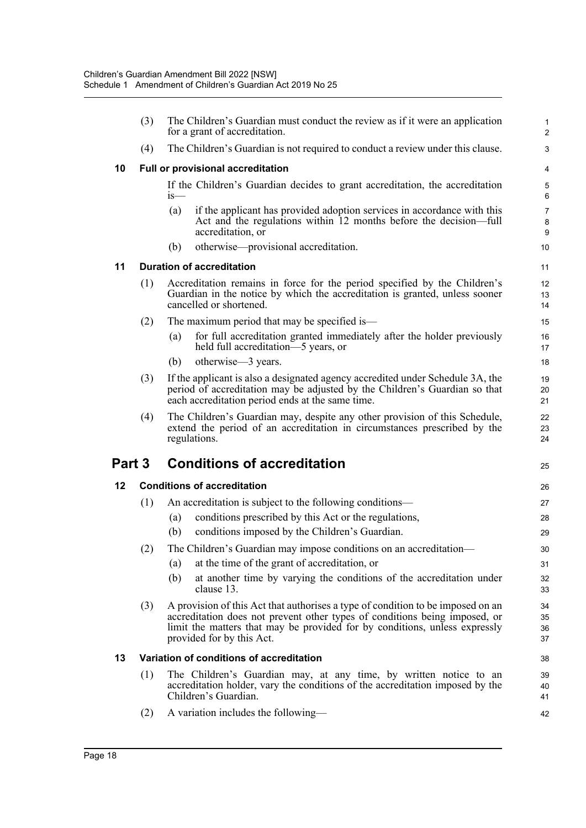|        | (3) | The Children's Guardian must conduct the review as if it were an application<br>for a grant of accreditation.                                                                                                                                                            | $\mathbf{1}$<br>$\overline{2}$ |
|--------|-----|--------------------------------------------------------------------------------------------------------------------------------------------------------------------------------------------------------------------------------------------------------------------------|--------------------------------|
|        | (4) | The Children's Guardian is not required to conduct a review under this clause.                                                                                                                                                                                           | 3                              |
| 10     |     | Full or provisional accreditation                                                                                                                                                                                                                                        | 4                              |
|        |     | If the Children's Guardian decides to grant accreditation, the accreditation<br>is—                                                                                                                                                                                      | 5<br>6                         |
|        |     | if the applicant has provided adoption services in accordance with this<br>(a)<br>Act and the regulations within 12 months before the decision—full<br>accreditation, or                                                                                                 | $\overline{7}$<br>8<br>9       |
|        |     | otherwise—provisional accreditation.<br>(b)                                                                                                                                                                                                                              | 10                             |
| 11     |     | <b>Duration of accreditation</b>                                                                                                                                                                                                                                         | 11                             |
|        | (1) | Accreditation remains in force for the period specified by the Children's<br>Guardian in the notice by which the accreditation is granted, unless sooner<br>cancelled or shortened.                                                                                      | 12<br>13<br>14                 |
|        | (2) | The maximum period that may be specified is—                                                                                                                                                                                                                             | 15                             |
|        |     | for full accreditation granted immediately after the holder previously<br>(a)<br>held full accreditation-5 years, or                                                                                                                                                     | 16<br>17                       |
|        |     | otherwise—3 years.<br>(b)                                                                                                                                                                                                                                                | 18                             |
|        | (3) | If the applicant is also a designated agency accredited under Schedule 3A, the<br>period of accreditation may be adjusted by the Children's Guardian so that<br>each accreditation period ends at the same time.                                                         | 19<br>20<br>21                 |
|        | (4) | The Children's Guardian may, despite any other provision of this Schedule,                                                                                                                                                                                               | 22                             |
|        |     | extend the period of an accreditation in circumstances prescribed by the<br>regulations.                                                                                                                                                                                 | 23<br>24                       |
| Part 3 |     | <b>Conditions of accreditation</b>                                                                                                                                                                                                                                       | 25                             |
| 12     |     | <b>Conditions of accreditation</b>                                                                                                                                                                                                                                       | 26                             |
|        | (1) | An accreditation is subject to the following conditions—                                                                                                                                                                                                                 | 27                             |
|        |     | conditions prescribed by this Act or the regulations,<br>(a)                                                                                                                                                                                                             | 28                             |
|        |     | (b)<br>conditions imposed by the Children's Guardian.                                                                                                                                                                                                                    | 29                             |
|        | (2) | The Children's Guardian may impose conditions on an accreditation-                                                                                                                                                                                                       | 30                             |
|        |     | at the time of the grant of accreditation, or<br>(a)                                                                                                                                                                                                                     | 31                             |
|        |     | (b)<br>at another time by varying the conditions of the accreditation under<br>clause 13.                                                                                                                                                                                | 32<br>33                       |
|        | (3) | A provision of this Act that authorises a type of condition to be imposed on an<br>accreditation does not prevent other types of conditions being imposed, or<br>limit the matters that may be provided for by conditions, unless expressly<br>provided for by this Act. | 34<br>35<br>36<br>37           |
| 13     |     | Variation of conditions of accreditation                                                                                                                                                                                                                                 | 38                             |
|        | (1) | The Children's Guardian may, at any time, by written notice to an<br>accreditation holder, vary the conditions of the accreditation imposed by the<br>Children's Guardian.                                                                                               | 39<br>40<br>41                 |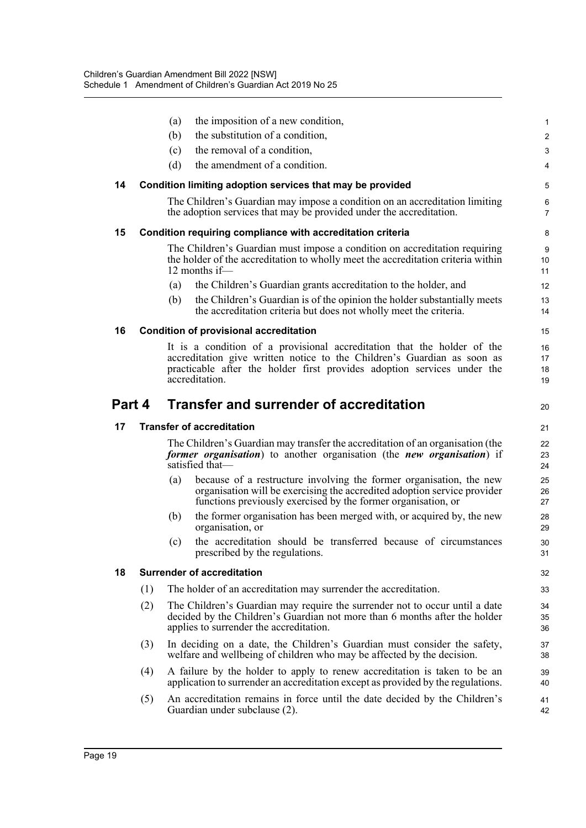|        |     | (a) | the imposition of a new condition,                                                                                                                                                                                                              | $\mathbf{1}$            |
|--------|-----|-----|-------------------------------------------------------------------------------------------------------------------------------------------------------------------------------------------------------------------------------------------------|-------------------------|
|        |     | (b) | the substitution of a condition,                                                                                                                                                                                                                | $\overline{\mathbf{c}}$ |
|        |     | (c) | the removal of a condition,                                                                                                                                                                                                                     | 3                       |
|        |     | (d) | the amendment of a condition.                                                                                                                                                                                                                   | 4                       |
| 14     |     |     | Condition limiting adoption services that may be provided                                                                                                                                                                                       | 5                       |
|        |     |     | The Children's Guardian may impose a condition on an accreditation limiting<br>the adoption services that may be provided under the accreditation.                                                                                              | 6<br>7                  |
| 15     |     |     | Condition requiring compliance with accreditation criteria                                                                                                                                                                                      | 8                       |
|        |     |     | The Children's Guardian must impose a condition on accreditation requiring<br>the holder of the accreditation to wholly meet the accreditation criteria within<br>12 months if-                                                                 | 9<br>10<br>11           |
|        |     | (a) | the Children's Guardian grants accreditation to the holder, and                                                                                                                                                                                 | 12                      |
|        |     | (b) | the Children's Guardian is of the opinion the holder substantially meets<br>the accreditation criteria but does not wholly meet the criteria.                                                                                                   | 13<br>14                |
| 16     |     |     | <b>Condition of provisional accreditation</b>                                                                                                                                                                                                   | 15                      |
|        |     |     | It is a condition of a provisional accreditation that the holder of the<br>accreditation give written notice to the Children's Guardian as soon as<br>practicable after the holder first provides adoption services under the<br>accreditation. | 16<br>17<br>18<br>19    |
| Part 4 |     |     | <b>Transfer and surrender of accreditation</b>                                                                                                                                                                                                  | 20                      |
|        |     |     |                                                                                                                                                                                                                                                 |                         |
| 17     |     |     | <b>Transfer of accreditation</b>                                                                                                                                                                                                                | 21                      |
|        |     |     | The Children's Guardian may transfer the accreditation of an organisation (the<br>former organisation) to another organisation (the new organisation) if<br>satisfied that-                                                                     | 22<br>23<br>24          |
|        |     | (a) | because of a restructure involving the former organisation, the new<br>organisation will be exercising the accredited adoption service provider<br>functions previously exercised by the former organisation, or                                | 25<br>26<br>27          |
|        |     | (b) | the former organisation has been merged with, or acquired by, the new<br>organisation, or                                                                                                                                                       | 28<br>29                |
|        |     | (c) | the accreditation should be transferred because of circumstances<br>prescribed by the regulations.                                                                                                                                              | 30<br>31                |
| 18     |     |     | <b>Surrender of accreditation</b>                                                                                                                                                                                                               | 32                      |
|        | (1) |     | The holder of an accreditation may surrender the accreditation.                                                                                                                                                                                 | 33                      |
|        | (2) |     | The Children's Guardian may require the surrender not to occur until a date<br>decided by the Children's Guardian not more than 6 months after the holder<br>applies to surrender the accreditation.                                            | 34<br>35<br>36          |
|        | (3) |     | In deciding on a date, the Children's Guardian must consider the safety,<br>welfare and wellbeing of children who may be affected by the decision.                                                                                              | 37<br>38                |
|        | (4) |     | A failure by the holder to apply to renew accreditation is taken to be an<br>application to surrender an accreditation except as provided by the regulations.                                                                                   | 39<br>40                |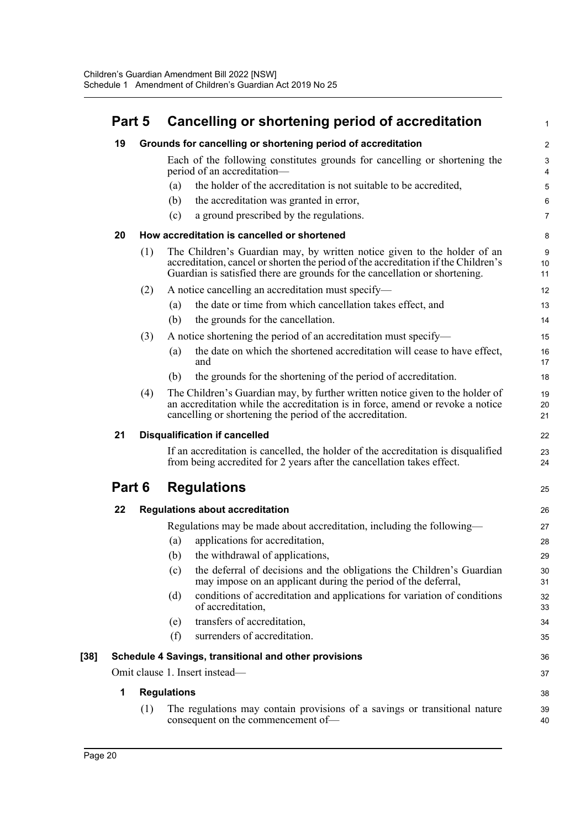| Part 5 |     | Cancelling or shortening period of accreditation                                                                                                                                                                                              | 1                 |
|--------|-----|-----------------------------------------------------------------------------------------------------------------------------------------------------------------------------------------------------------------------------------------------|-------------------|
| 19     |     | Grounds for cancelling or shortening period of accreditation                                                                                                                                                                                  | $\overline{2}$    |
|        |     | Each of the following constitutes grounds for cancelling or shortening the<br>period of an accreditation-                                                                                                                                     | $\mathsf 3$<br>4  |
|        |     | the holder of the accreditation is not suitable to be accredited,<br>(a)                                                                                                                                                                      | 5                 |
|        |     | (b)<br>the accreditation was granted in error,                                                                                                                                                                                                | 6                 |
|        |     | a ground prescribed by the regulations.<br>(c)                                                                                                                                                                                                | $\overline{7}$    |
| 20     |     | How accreditation is cancelled or shortened                                                                                                                                                                                                   | 8                 |
|        | (1) | The Children's Guardian may, by written notice given to the holder of an<br>accreditation, cancel or shorten the period of the accreditation if the Children's<br>Guardian is satisfied there are grounds for the cancellation or shortening. | $9\,$<br>10<br>11 |
|        | (2) | A notice cancelling an accreditation must specify-                                                                                                                                                                                            | 12                |
|        |     | the date or time from which cancellation takes effect, and<br>(a)                                                                                                                                                                             | 13                |
|        |     | (b)<br>the grounds for the cancellation.                                                                                                                                                                                                      | 14                |
|        | (3) | A notice shortening the period of an accreditation must specify—                                                                                                                                                                              | 15                |
|        |     | the date on which the shortened accreditation will cease to have effect,<br>(a)<br>and                                                                                                                                                        | 16<br>17          |
|        |     | the grounds for the shortening of the period of accreditation.<br>(b)                                                                                                                                                                         | 18                |
|        | (4) | The Children's Guardian may, by further written notice given to the holder of<br>an accreditation while the accreditation is in force, amend or revoke a notice<br>cancelling or shortening the period of the accreditation.                  | 19<br>20<br>21    |
| 21     |     | <b>Disqualification if cancelled</b>                                                                                                                                                                                                          | 22                |
|        |     | If an accreditation is cancelled, the holder of the accreditation is disqualified<br>from being accredited for 2 years after the cancellation takes effect.                                                                                   | 23<br>24          |
| Part 6 |     | <b>Regulations</b>                                                                                                                                                                                                                            | 25                |
| 22     |     | <b>Regulations about accreditation</b>                                                                                                                                                                                                        | 26                |
|        |     | Regulations may be made about accreditation, including the following—                                                                                                                                                                         | 27                |
|        |     | applications for accreditation,<br>(a)                                                                                                                                                                                                        | 28                |
|        |     | the withdrawal of applications,<br>(b)                                                                                                                                                                                                        | 29                |
|        |     | the deferral of decisions and the obligations the Children's Guardian<br>(c)<br>may impose on an applicant during the period of the deferral,                                                                                                 | 30<br>31          |
|        |     | conditions of accreditation and applications for variation of conditions<br>(d)<br>of accreditation,                                                                                                                                          | 32<br>33          |
|        |     | transfers of accreditation,<br>(e)                                                                                                                                                                                                            | 34                |
|        |     | surrenders of accreditation.<br>(f)                                                                                                                                                                                                           | 35                |
|        |     | Schedule 4 Savings, transitional and other provisions                                                                                                                                                                                         | 36                |
|        |     | Omit clause 1. Insert instead-                                                                                                                                                                                                                | 37                |
| 1      |     | <b>Regulations</b>                                                                                                                                                                                                                            | 38                |
|        | (1) | The regulations may contain provisions of a savings or transitional nature<br>consequent on the commencement of-                                                                                                                              | 39<br>40          |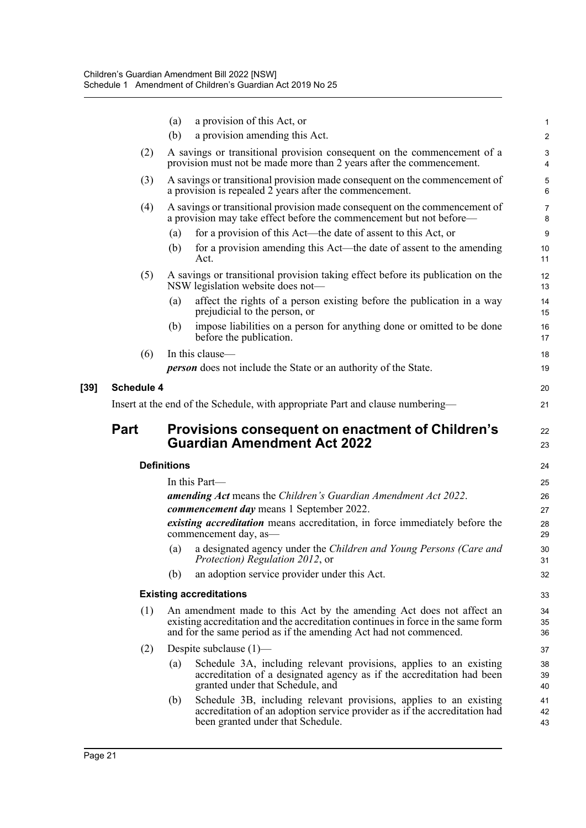|                         | (a)                | a provision of this Act, or                                                                                                                                                                                                   | $\mathbf{1}$        |  |  |  |
|-------------------------|--------------------|-------------------------------------------------------------------------------------------------------------------------------------------------------------------------------------------------------------------------------|---------------------|--|--|--|
|                         | (b)                | a provision amending this Act.                                                                                                                                                                                                | $\overline{c}$      |  |  |  |
|                         | (2)                | A savings or transitional provision consequent on the commencement of a<br>provision must not be made more than 2 years after the commencement.                                                                               | 3<br>4              |  |  |  |
|                         | (3)                | A savings or transitional provision made consequent on the commencement of<br>a provision is repealed 2 years after the commencement.                                                                                         | 5<br>6              |  |  |  |
|                         | (4)                | A savings or transitional provision made consequent on the commencement of<br>a provision may take effect before the commencement but not before—                                                                             | $\overline{7}$<br>8 |  |  |  |
|                         | (a)                | for a provision of this Act—the date of assent to this Act, or                                                                                                                                                                | 9                   |  |  |  |
|                         | (b)                | for a provision amending this Act—the date of assent to the amending<br>Act.                                                                                                                                                  | 10<br>11            |  |  |  |
|                         | (5)                | A savings or transitional provision taking effect before its publication on the<br>NSW legislation website does not-                                                                                                          | 12<br>13            |  |  |  |
|                         | (a)                | affect the rights of a person existing before the publication in a way<br>prejudicial to the person, or                                                                                                                       | 14<br>15            |  |  |  |
|                         | (b)                | impose liabilities on a person for anything done or omitted to be done<br>before the publication.                                                                                                                             | 16<br>17            |  |  |  |
|                         | (6)                | In this clause-                                                                                                                                                                                                               | 18                  |  |  |  |
|                         |                    | <b>person</b> does not include the State or an authority of the State.                                                                                                                                                        | 19                  |  |  |  |
| <b>Schedule 4</b><br>20 |                    |                                                                                                                                                                                                                               |                     |  |  |  |
|                         |                    | Insert at the end of the Schedule, with appropriate Part and clause numbering—                                                                                                                                                |                     |  |  |  |
|                         |                    |                                                                                                                                                                                                                               | 21                  |  |  |  |
| Part                    |                    | Provisions consequent on enactment of Children's<br><b>Guardian Amendment Act 2022</b>                                                                                                                                        | 22<br>23            |  |  |  |
|                         | <b>Definitions</b> |                                                                                                                                                                                                                               | 24                  |  |  |  |
|                         |                    | In this Part—                                                                                                                                                                                                                 | 25                  |  |  |  |
|                         |                    | <b>amending Act</b> means the Children's Guardian Amendment Act 2022.                                                                                                                                                         | 26                  |  |  |  |
|                         |                    | commencement day means 1 September 2022.                                                                                                                                                                                      | 27                  |  |  |  |
|                         |                    | existing accreditation means accreditation, in force immediately before the<br>commencement day, as-                                                                                                                          | 28<br>29            |  |  |  |
|                         | (a)                | a designated agency under the Children and Young Persons (Care and<br>Protection) Regulation 2012, or                                                                                                                         | 30<br>31            |  |  |  |
|                         | (b)                | an adoption service provider under this Act.                                                                                                                                                                                  | 32                  |  |  |  |
|                         |                    | <b>Existing accreditations</b>                                                                                                                                                                                                | 33                  |  |  |  |
|                         | (1)                | An amendment made to this Act by the amending Act does not affect an<br>existing accreditation and the accreditation continues in force in the same form<br>and for the same period as if the amending Act had not commenced. | 34<br>35<br>36      |  |  |  |
|                         | (2)                | Despite subclause $(1)$ —                                                                                                                                                                                                     | 37                  |  |  |  |
|                         | (a)                | Schedule 3A, including relevant provisions, applies to an existing<br>accreditation of a designated agency as if the accreditation had been<br>granted under that Schedule, and                                               | 38<br>39<br>40      |  |  |  |
|                         | (b)                | Schedule 3B, including relevant provisions, applies to an existing<br>accreditation of an adoption service provider as if the accreditation had<br>been granted under that Schedule.                                          | 41<br>42<br>43      |  |  |  |

[39]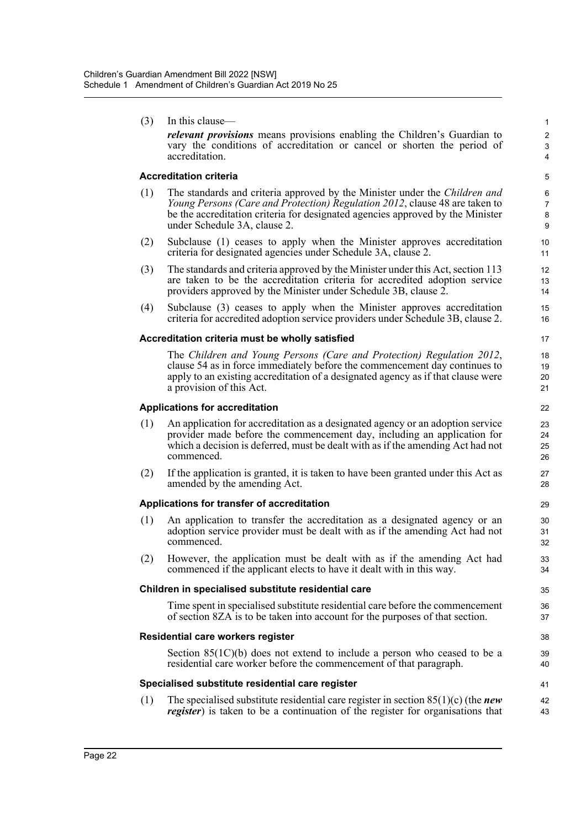| (3) | In this clause—                                                                                                                                                                                                                                                             | $\mathbf{1}$                          |
|-----|-----------------------------------------------------------------------------------------------------------------------------------------------------------------------------------------------------------------------------------------------------------------------------|---------------------------------------|
|     | relevant provisions means provisions enabling the Children's Guardian to<br>vary the conditions of accreditation or cancel or shorten the period of<br>accreditation.                                                                                                       | $\overline{c}$<br>3<br>$\overline{4}$ |
|     | <b>Accreditation criteria</b>                                                                                                                                                                                                                                               | 5                                     |
| (1) | The standards and criteria approved by the Minister under the Children and<br>Young Persons (Care and Protection) Regulation 2012, clause 48 are taken to<br>be the accreditation criteria for designated agencies approved by the Minister<br>under Schedule 3A, clause 2. | 6<br>$\overline{7}$<br>8<br>9         |
| (2) | Subclause (1) ceases to apply when the Minister approves accreditation<br>criteria for designated agencies under Schedule 3A, clause 2.                                                                                                                                     | 10<br>11                              |
| (3) | The standards and criteria approved by the Minister under this Act, section 113<br>are taken to be the accreditation criteria for accredited adoption service<br>providers approved by the Minister under Schedule 3B, clause 2.                                            | 12<br>13<br>14                        |
| (4) | Subclause (3) ceases to apply when the Minister approves accreditation<br>criteria for accredited adoption service providers under Schedule 3B, clause 2.                                                                                                                   | 15<br>16                              |
|     | Accreditation criteria must be wholly satisfied                                                                                                                                                                                                                             | 17                                    |
|     | The Children and Young Persons (Care and Protection) Regulation 2012,<br>clause 54 as in force immediately before the commencement day continues to<br>apply to an existing accreditation of a designated agency as if that clause were<br>a provision of this Act.         | 18<br>19<br>20<br>21                  |
|     | <b>Applications for accreditation</b>                                                                                                                                                                                                                                       | 22                                    |
| (1) | An application for accreditation as a designated agency or an adoption service<br>provider made before the commencement day, including an application for<br>which a decision is deferred, must be dealt with as if the amending Act had not<br>commenced.                  | 23<br>24<br>25<br>26                  |
| (2) | If the application is granted, it is taken to have been granted under this Act as<br>amended by the amending Act.                                                                                                                                                           | 27<br>28                              |
|     | Applications for transfer of accreditation                                                                                                                                                                                                                                  | 29                                    |
| (1) | An application to transfer the accreditation as a designated agency or an<br>adoption service provider must be dealt with as if the amending Act had not<br>commenced.                                                                                                      | 30<br>31<br>32                        |
| (2) | However, the application must be dealt with as if the amending Act had<br>commenced if the applicant elects to have it dealt with in this way.                                                                                                                              | 33<br>34                              |
|     | Children in specialised substitute residential care                                                                                                                                                                                                                         | 35                                    |
|     | Time spent in specialised substitute residential care before the commencement<br>of section 8ZA is to be taken into account for the purposes of that section.                                                                                                               | 36<br>37                              |
|     | Residential care workers register                                                                                                                                                                                                                                           | 38                                    |
|     | Section $85(1C)(b)$ does not extend to include a person who ceased to be a<br>residential care worker before the commencement of that paragraph.                                                                                                                            | 39<br>40                              |
|     | Specialised substitute residential care register                                                                                                                                                                                                                            | 41                                    |
| (1) | The specialised substitute residential care register in section $85(1)(c)$ (the <i>new</i><br><i>register</i> ) is taken to be a continuation of the register for organisations that                                                                                        | 42<br>43                              |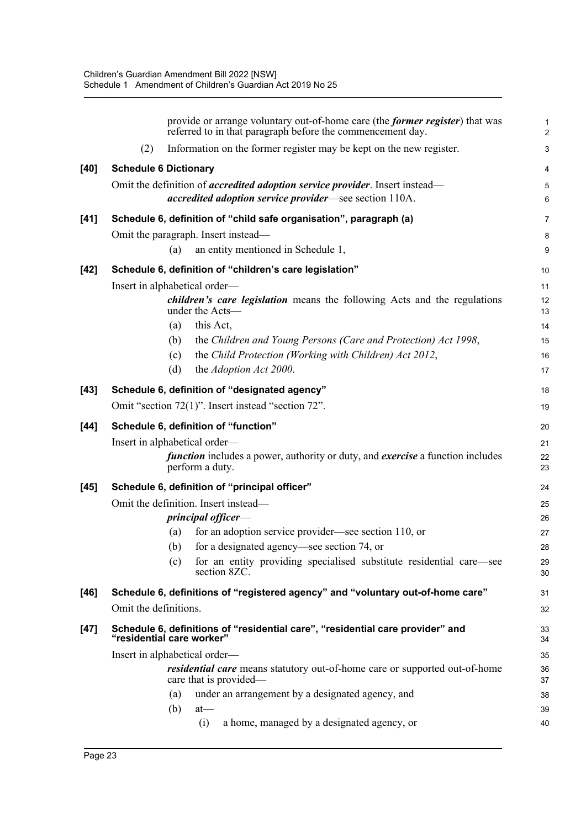|        | provide or arrange voluntary out-of-home care (the <i>former register</i> ) that was<br>referred to in that paragraph before the commencement day. |                                                                     | $\mathbf{1}$<br>2 |
|--------|----------------------------------------------------------------------------------------------------------------------------------------------------|---------------------------------------------------------------------|-------------------|
|        | Information on the former register may be kept on the new register.<br>(2)                                                                         |                                                                     | 3                 |
| [40]   | <b>Schedule 6 Dictionary</b>                                                                                                                       |                                                                     | $\overline{4}$    |
|        | Omit the definition of <i>accredited adoption service provider</i> . Insert instead—                                                               |                                                                     | 5                 |
|        | <i>accredited adoption service provider</i> —see section 110A.                                                                                     |                                                                     | $\,6\,$           |
| $[41]$ | Schedule 6, definition of "child safe organisation", paragraph (a)                                                                                 |                                                                     | $\overline{7}$    |
|        | Omit the paragraph. Insert instead—                                                                                                                |                                                                     | 8                 |
|        | an entity mentioned in Schedule 1,<br>(a)                                                                                                          |                                                                     | $\boldsymbol{9}$  |
| $[42]$ | Schedule 6, definition of "children's care legislation"                                                                                            |                                                                     | 10                |
|        | Insert in alphabetical order—                                                                                                                      |                                                                     | 11                |
|        | <i>children's care legislation</i> means the following Acts and the regulations<br>under the Acts-                                                 |                                                                     | 12<br>13          |
|        | this Act,<br>(a)                                                                                                                                   |                                                                     | 14                |
|        | (b)<br>the Children and Young Persons (Care and Protection) Act 1998,                                                                              |                                                                     | 15                |
|        | the Child Protection (Working with Children) Act 2012,<br>(c)                                                                                      |                                                                     | 16                |
|        | the Adoption Act 2000.<br>(d)                                                                                                                      |                                                                     | 17                |
| $[43]$ | Schedule 6, definition of "designated agency"                                                                                                      |                                                                     | 18                |
|        | Omit "section 72(1)". Insert instead "section 72".                                                                                                 |                                                                     | 19                |
| $[44]$ | Schedule 6, definition of "function"                                                                                                               |                                                                     | 20                |
|        | Insert in alphabetical order-                                                                                                                      |                                                                     | 21                |
|        | <i>function</i> includes a power, authority or duty, and <i>exercise</i> a function includes<br>perform a duty.                                    |                                                                     | 22<br>23          |
| $[45]$ | Schedule 6, definition of "principal officer"                                                                                                      |                                                                     | 24                |
|        | Omit the definition. Insert instead-                                                                                                               |                                                                     | 25                |
|        | principal officer-                                                                                                                                 |                                                                     | 26                |
|        | for an adoption service provider—see section 110, or<br>(a)                                                                                        |                                                                     | 27                |
|        | for a designated agency—see section 74, or<br>(b)                                                                                                  |                                                                     | 28                |
|        | (c)<br>section 8ZC.                                                                                                                                | for an entity providing specialised substitute residential care—see | 29<br>30          |
| [46]   | Schedule 6, definitions of "registered agency" and "voluntary out-of-home care"                                                                    |                                                                     | 31                |
|        | Omit the definitions.                                                                                                                              |                                                                     | 32                |
| $[47]$ | Schedule 6, definitions of "residential care", "residential care provider" and<br>"residential care worker"                                        |                                                                     | 33<br>34          |
|        | Insert in alphabetical order—                                                                                                                      |                                                                     | 35                |
|        | <i>residential care</i> means statutory out-of-home care or supported out-of-home<br>care that is provided—                                        |                                                                     | 36<br>37          |
|        | under an arrangement by a designated agency, and<br>(a)                                                                                            |                                                                     | 38                |
|        | (b)<br>$at$ —                                                                                                                                      |                                                                     | 39                |
|        | a home, managed by a designated agency, or<br>(i)                                                                                                  |                                                                     | 40                |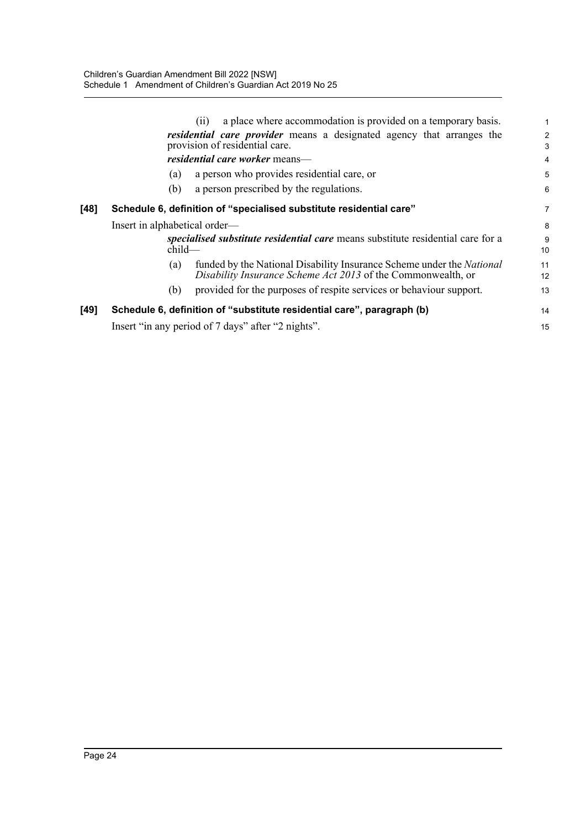|      | a place where accommodation is provided on a temporary basis.<br>(i)                                                                         |                     |
|------|----------------------------------------------------------------------------------------------------------------------------------------------|---------------------|
|      | <i>residential care provider</i> means a designated agency that arranges the<br>provision of residential care.                               | $\overline{2}$<br>3 |
|      | residential care worker means-                                                                                                               | 4                   |
|      | a person who provides residential care, or<br>(a)                                                                                            | 5                   |
|      | a person prescribed by the regulations.<br>(b)                                                                                               | 6                   |
| [48] | Schedule 6, definition of "specialised substitute residential care"                                                                          | 7                   |
|      | Insert in alphabetical order—                                                                                                                | 8                   |
|      | specialised substitute residential care means substitute residential care for a<br>$child-$                                                  | 9<br>10             |
|      | funded by the National Disability Insurance Scheme under the National<br>(a)<br>Disability Insurance Scheme Act 2013 of the Commonwealth, or | 11<br>12            |
|      | provided for the purposes of respite services or behaviour support.<br>(b)                                                                   | 13                  |
| [49] | Schedule 6, definition of "substitute residential care", paragraph (b)                                                                       | 14                  |
|      | Insert "in any period of 7 days" after "2 nights".                                                                                           | 15                  |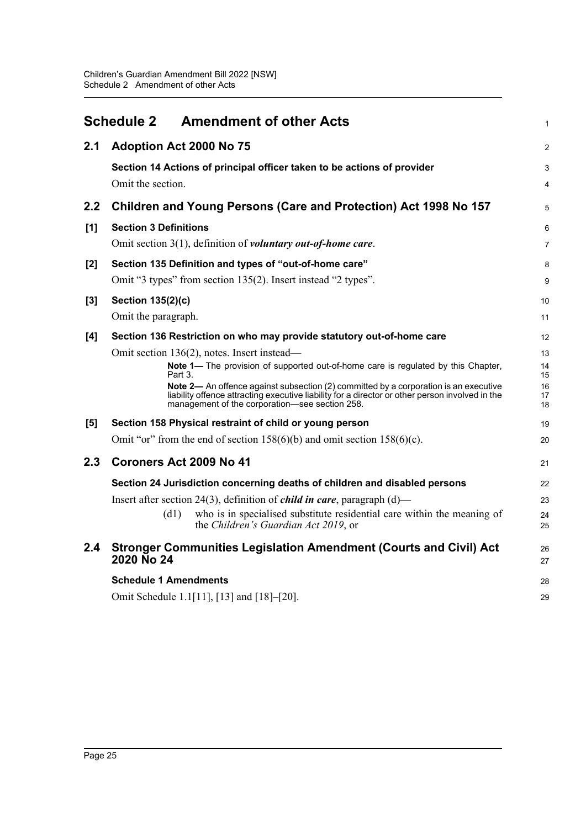<span id="page-28-0"></span>

|       | <b>Schedule 2</b>            | <b>Amendment of other Acts</b>                                                                                                                                                                                                            | $\mathbf 1$    |
|-------|------------------------------|-------------------------------------------------------------------------------------------------------------------------------------------------------------------------------------------------------------------------------------------|----------------|
| 2.1   | Adoption Act 2000 No 75      |                                                                                                                                                                                                                                           | $\overline{2}$ |
|       |                              | Section 14 Actions of principal officer taken to be actions of provider                                                                                                                                                                   | 3              |
|       | Omit the section.            |                                                                                                                                                                                                                                           | 4              |
| 2.2   |                              | Children and Young Persons (Care and Protection) Act 1998 No 157                                                                                                                                                                          | 5              |
| [1]   | <b>Section 3 Definitions</b> |                                                                                                                                                                                                                                           | 6              |
|       |                              | Omit section 3(1), definition of voluntary out-of-home care.                                                                                                                                                                              | $\overline{7}$ |
| $[2]$ |                              | Section 135 Definition and types of "out-of-home care"                                                                                                                                                                                    | 8              |
|       |                              | Omit "3 types" from section 135(2). Insert instead "2 types".                                                                                                                                                                             | 9              |
| $[3]$ | Section 135(2)(c)            |                                                                                                                                                                                                                                           | 10             |
|       | Omit the paragraph.          |                                                                                                                                                                                                                                           | 11             |
| [4]   |                              | Section 136 Restriction on who may provide statutory out-of-home care                                                                                                                                                                     | 12             |
|       |                              | Omit section 136(2), notes. Insert instead—                                                                                                                                                                                               | 13             |
|       | Part 3.                      | Note 1— The provision of supported out-of-home care is regulated by this Chapter,                                                                                                                                                         | 14<br>15       |
|       |                              | Note 2- An offence against subsection (2) committed by a corporation is an executive<br>liability offence attracting executive liability for a director or other person involved in the<br>management of the corporation-see section 258. | 16<br>17<br>18 |
| [5]   |                              | Section 158 Physical restraint of child or young person                                                                                                                                                                                   | 19             |
|       |                              | Omit "or" from the end of section $158(6)(b)$ and omit section $158(6)(c)$ .                                                                                                                                                              | 20             |
| 2.3   | Coroners Act 2009 No 41      |                                                                                                                                                                                                                                           | 21             |
|       |                              | Section 24 Jurisdiction concerning deaths of children and disabled persons                                                                                                                                                                | 22             |
|       |                              | Insert after section 24(3), definition of <i>child in care</i> , paragraph $(d)$ —                                                                                                                                                        | 23             |
|       | (d1)                         | who is in specialised substitute residential care within the meaning of<br>the Children's Guardian Act 2019, or                                                                                                                           | 24<br>25       |
| 2.4   | 2020 No 24                   | <b>Stronger Communities Legislation Amendment (Courts and Civil) Act</b>                                                                                                                                                                  | 26<br>27       |
|       | <b>Schedule 1 Amendments</b> |                                                                                                                                                                                                                                           | 28             |
|       |                              | Omit Schedule 1.1[11], [13] and [18]–[20].                                                                                                                                                                                                | 29             |